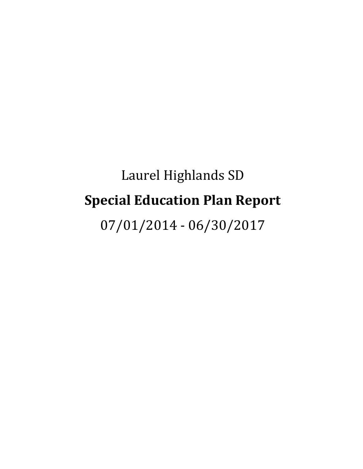# Laurel Highlands SD **Special Education Plan Report**

07/01/2014 - 06/30/2017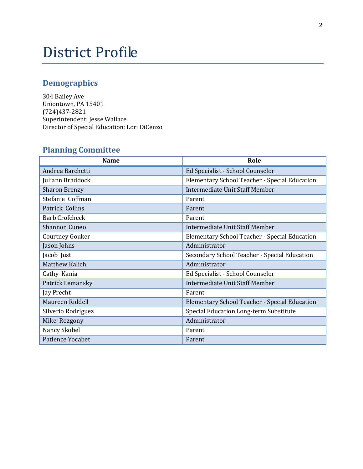## District Profile

## **Demographics**

304 Bailey Ave Uniontown, PA 15401 (724)437-2821 Superintendent: Jesse Wallace Director of Special Education: Lori DiCenzo

## **Planning Committee**

| <b>Name</b>            | Role                                          |
|------------------------|-----------------------------------------------|
| Andrea Barchetti       | Ed Specialist - School Counselor              |
| Juliann Braddock       | Elementary School Teacher - Special Education |
| <b>Sharon Brenzy</b>   | Intermediate Unit Staff Member                |
| Stefanie Coffman       | Parent                                        |
| Patrick Collins        | Parent                                        |
| <b>Barb Crofcheck</b>  | Parent                                        |
| <b>Shannon Cuneo</b>   | Intermediate Unit Staff Member                |
| <b>Courtney Gouker</b> | Elementary School Teacher - Special Education |
| Jason Johns            | Administrator                                 |
| Jacob Just             | Secondary School Teacher - Special Education  |
| <b>Matthew Kalich</b>  | Administrator                                 |
| Cathy Kania            | Ed Specialist - School Counselor              |
| Patrick Lemansky       | Intermediate Unit Staff Member                |
| Jay Precht             | Parent                                        |
| Maureen Riddell        | Elementary School Teacher - Special Education |
| Silverio Rodriguez     | Special Education Long-term Substitute        |
| Mike Rozgony           | Administrator                                 |
| Nancy Skobel           | Parent                                        |
| Patience Yocabet       | Parent                                        |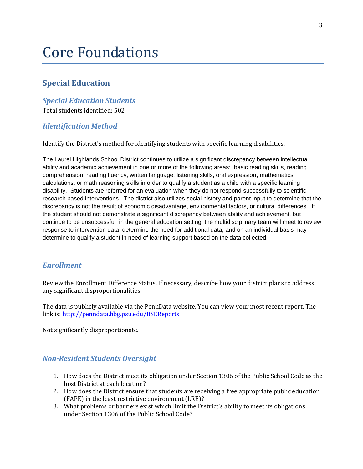## Core Foundations

#### **Special Education**

#### *Special Education Students*

Total students identified: 502

#### *Identification Method*

Identify the District's method for identifying students with specific learning disabilities.

The Laurel Highlands School District continues to utilize a significant discrepancy between intellectual ability and academic achievement in one or more of the following areas: basic reading skills, reading comprehension, reading fluency, written language, listening skills, oral expression, mathematics calculations, or math reasoning skills in order to qualify a student as a child with a specific learning disability. Students are referred for an evaluation when they do not respond successfully to scientific, research based interventions. The district also utilizes social history and parent input to determine that the discrepancy is not the result of economic disadvantage, environmental factors, or cultural differences. If the student should not demonstrate a significant discrepancy between ability and achievement, but continue to be unsuccessful in the general education setting, the multidisciplinary team will meet to review response to intervention data, determine the need for additional data, and on an individual basis may determine to qualify a student in need of learning support based on the data collected.

#### *Enrollment*

Review the Enrollment Difference Status. If necessary, describe how your district plans to address any significant disproportionalities.

The data is publicly available via the PennData website. You can view your most recent report. The link is[: http://penndata.hbg.psu.edu/BSEReports](http://penndata.hbg.psu.edu/BSEReports)

Not significantly disproportionate.

#### *Non-Resident Students Oversight*

- 1. How does the District meet its obligation under Section 1306 of the Public School Code as the host District at each location?
- 2. How does the District ensure that students are receiving a free appropriate public education (FAPE) in the least restrictive environment (LRE)?
- 3. What problems or barriers exist which limit the District's ability to meet its obligations under Section 1306 of the Public School Code?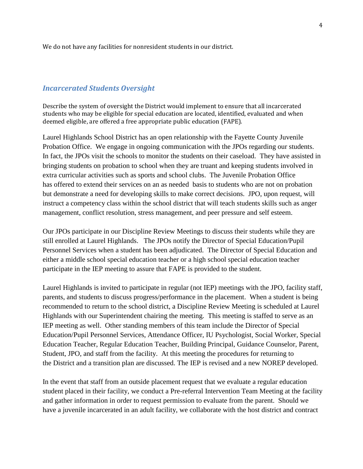We do not have any facilities for nonresident students in our district.

#### *Incarcerated Students Oversight*

Describe the system of oversight the District would implement to ensure that all incarcerated students who may be eligible for special education are located, identified, evaluated and when deemed eligible, are offered a free appropriate public education (FAPE).

Laurel Highlands School District has an open relationship with the Fayette County Juvenile Probation Office. We engage in ongoing communication with the JPOs regarding our students. In fact, the JPOs visit the schools to monitor the students on their caseload. They have assisted in bringing students on probation to school when they are truant and keeping students involved in extra curricular activities such as sports and school clubs. The Juvenile Probation Office has offered to extend their services on an as needed basis to students who are not on probation but demonstrate a need for developing skills to make correct decisions. JPO, upon request, will instruct a competency class within the school district that will teach students skills such as anger management, conflict resolution, stress management, and peer pressure and self esteem.

Our JPOs participate in our Discipline Review Meetings to discuss their students while they are still enrolled at Laurel Highlands. The JPOs notify the Director of Special Education/Pupil Personnel Services when a student has been adjudicated. The Director of Special Education and either a middle school special education teacher or a high school special education teacher participate in the IEP meeting to assure that FAPE is provided to the student.

Laurel Highlands is invited to participate in regular (not IEP) meetings with the JPO, facility staff, parents, and students to discuss progress/performance in the placement. When a student is being recommended to return to the school district, a Discipline Review Meeting is scheduled at Laurel Highlands with our Superintendent chairing the meeting. This meeting is staffed to serve as an IEP meeting as well. Other standing members of this team include the Director of Special Education/Pupil Personnel Services, Attendance Officer, IU Psychologist, Social Worker, Special Education Teacher, Regular Education Teacher, Building Principal, Guidance Counselor, Parent, Student, JPO, and staff from the facility. At this meeting the procedures for returning to the District and a transition plan are discussed. The IEP is revised and a new NOREP developed.

In the event that staff from an outside placement request that we evaluate a regular education student placed in their facility, we conduct a Pre-referral Intervention Team Meeting at the facility and gather information in order to request permission to evaluate from the parent. Should we have a juvenile incarcerated in an adult facility, we collaborate with the host district and contract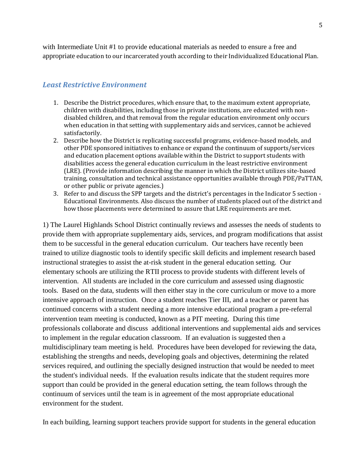with Intermediate Unit #1 to provide educational materials as needed to ensure a free and appropriate education to our incarcerated youth according to their Individualized Educational Plan.

#### *Least Restrictive Environment*

- 1. Describe the District procedures, which ensure that, to the maximum extent appropriate, children with disabilities, including those in private institutions, are educated with nondisabled children, and that removal from the regular education environment only occurs when education in that setting with supplementary aids and services, cannot be achieved satisfactorily.
- 2. Describe how the District is replicating successful programs, evidence-based models, and other PDE sponsored initiatives to enhance or expand the continuum of supports/services and education placement options available within the District to support students with disabilities access the general education curriculum in the least restrictive environment (LRE). (Provide information describing the manner in which the District utilizes site-based training, consultation and technical assistance opportunities available through PDE/PaTTAN, or other public or private agencies.)
- 3. Refer to and discuss the SPP targets and the district's percentages in the Indicator 5 section Educational Environments. Also discuss the number of students placed out of the district and how those placements were determined to assure that LRE requirements are met.

1) The Laurel Highlands School District continually reviews and assesses the needs of students to provide them with appropriate supplementary aids, services, and program modifications that assist them to be successful in the general education curriculum. Our teachers have recently been trained to utilize diagnostic tools to identify specific skill deficits and implement research based instructional strategies to assist the at-risk student in the general education setting. Our elementary schools are utilizing the RTII process to provide students with different levels of intervention. All students are included in the core curriculum and assessed using diagnostic tools. Based on the data, students will then either stay in the core curriculum or move to a more intensive approach of instruction. Once a student reaches Tier III, and a teacher or parent has continued concerns with a student needing a more intensive educational program a pre-referral intervention team meeting is conducted, known as a PIT meeting. During this time professionals collaborate and discuss additional interventions and supplemental aids and services to implement in the regular education classroom. If an evaluation is suggested then a multidisciplinary team meeting is held. Procedures have been developed for reviewing the data, establishing the strengths and needs, developing goals and objectives, determining the related services required, and outlining the specially designed instruction that would be needed to meet the student's individual needs. If the evaluation results indicate that the student requires more support than could be provided in the general education setting, the team follows through the continuum of services until the team is in agreement of the most appropriate educational environment for the student.

In each building, learning support teachers provide support for students in the general education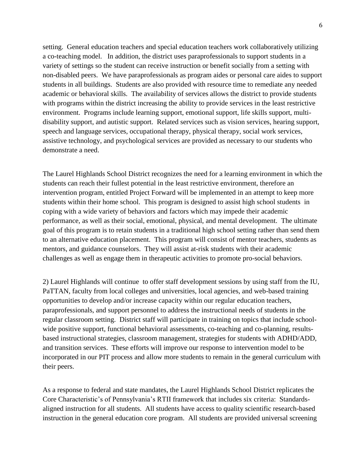setting. General education teachers and special education teachers work collaboratively utilizing a co-teaching model. In addition, the district uses paraprofessionals to support students in a variety of settings so the student can receive instruction or benefit socially from a setting with non-disabled peers. We have paraprofessionals as program aides or personal care aides to support students in all buildings. Students are also provided with resource time to remediate any needed academic or behavioral skills. The availability of services allows the district to provide students with programs within the district increasing the ability to provide services in the least restrictive environment. Programs include learning support, emotional support, life skills support, multidisability support, and autistic support. Related services such as vision services, hearing support, speech and language services, occupational therapy, physical therapy, social work services, assistive technology, and psychological services are provided as necessary to our students who demonstrate a need.

The Laurel Highlands School District recognizes the need for a learning environment in which the students can reach their fullest potential in the least restrictive environment, therefore an intervention program, entitled Project Forward will be implemented in an attempt to keep more students within their home school. This program is designed to assist high school students in coping with a wide variety of behaviors and factors which may impede their academic performance, as well as their social, emotional, physical, and mental development. The ultimate goal of this program is to retain students in a traditional high school setting rather than send them to an alternative education placement. This program will consist of mentor teachers, students as mentors, and guidance counselors. They will assist at-risk students with their academic challenges as well as engage them in therapeutic activities to promote pro-social behaviors.

2) Laurel Highlands will continue to offer staff development sessions by using staff from the IU, PaTTAN, faculty from local colleges and universities, local agencies, and web-based training opportunities to develop and/or increase capacity within our regular education teachers, paraprofessionals, and support personnel to address the instructional needs of students in the regular classroom setting. District staff will participate in training on topics that include schoolwide positive support, functional behavioral assessments, co-teaching and co-planning, resultsbased instructional strategies, classroom management, strategies for students with ADHD/ADD, and transition services. These efforts will improve our response to intervention model to be incorporated in our PIT process and allow more students to remain in the general curriculum with their peers.

As a response to federal and state mandates, the Laurel Highlands School District replicates the Core Characteristic's of Pennsylvania's RTII framework that includes six criteria: Standardsaligned instruction for all students. All students have access to quality scientific research-based instruction in the general education core program. All students are provided universal screening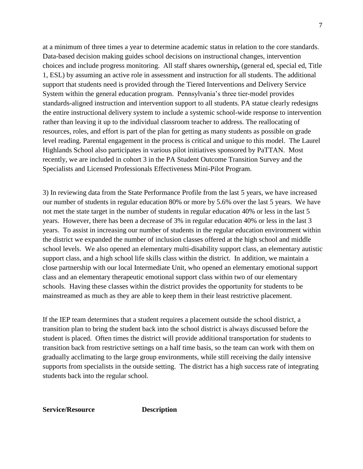at a minimum of three times a year to determine academic status in relation to the core standards. Data-based decision making guides school decisions on instructional changes, intervention choices and include progress monitoring. All staff shares ownership**,** (general ed, special ed, Title 1, ESL) by assuming an active role in assessment and instruction for all students. The additional support that students need is provided through the Tiered Interventions and Delivery Service System within the general education program. Pennsylvania's three tier-model provides standards-aligned instruction and intervention support to all students. PA statue clearly redesigns the entire instructional delivery system to include a systemic school-wide response to intervention rather than leaving it up to the individual classroom teacher to address. The reallocating of resources, roles, and effort is part of the plan for getting as many students as possible on grade level reading. Parental engagement in the process is critical and unique to this model. The Laurel Highlands School also participates in various pilot initiatives sponsored by PaTTAN. Most recently, we are included in cohort 3 in the PA Student Outcome Transition Survey and the Specialists and Licensed Professionals Effectiveness Mini-Pilot Program.

3) In reviewing data from the State Performance Profile from the last 5 years, we have increased our number of students in regular education 80% or more by 5.6% over the last 5 years. We have not met the state target in the number of students in regular education 40% or less in the last 5 years. However, there has been a decrease of 3% in regular education 40% or less in the last 3 years. To assist in increasing our number of students in the regular education environment within the district we expanded the number of inclusion classes offered at the high school and middle school levels. We also opened an elementary multi-disability support class, an elementary autistic support class, and a high school life skills class within the district. In addition, we maintain a close partnership with our local Intermediate Unit, who opened an elementary emotional support class and an elementary therapeutic emotional support class within two of our elementary schools. Having these classes within the district provides the opportunity for students to be mainstreamed as much as they are able to keep them in their least restrictive placement.

If the IEP team determines that a student requires a placement outside the school district, a transition plan to bring the student back into the school district is always discussed before the student is placed. Often times the district will provide additional transportation for students to transition back from restrictive settings on a half time basis, so the team can work with them on gradually acclimating to the large group environments, while still receiving the daily intensive supports from specialists in the outside setting. The district has a high success rate of integrating students back into the regular school.

**Service/Resource Description**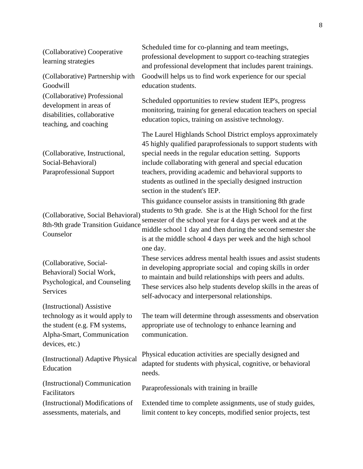| (Collaborative) Cooperative<br>learning strategies                                                                                            | Scheduled time for co-planning and team meetings,<br>professional development to support co-teaching strategies<br>and professional development that includes parent trainings.                                                                                                                                                                                                                                |
|-----------------------------------------------------------------------------------------------------------------------------------------------|----------------------------------------------------------------------------------------------------------------------------------------------------------------------------------------------------------------------------------------------------------------------------------------------------------------------------------------------------------------------------------------------------------------|
| (Collaborative) Partnership with<br>Goodwill                                                                                                  | Goodwill helps us to find work experience for our special<br>education students.                                                                                                                                                                                                                                                                                                                               |
| (Collaborative) Professional<br>development in areas of<br>disabilities, collaborative<br>teaching, and coaching                              | Scheduled opportunities to review student IEP's, progress<br>monitoring, training for general education teachers on special<br>education topics, training on assistive technology.                                                                                                                                                                                                                             |
| (Collaborative, Instructional,<br>Social-Behavioral)<br><b>Paraprofessional Support</b>                                                       | The Laurel Highlands School District employs approximately<br>45 highly qualified paraprofessionals to support students with<br>special needs in the regular education setting. Supports<br>include collaborating with general and special education<br>teachers, providing academic and behavioral supports to<br>students as outlined in the specially designed instruction<br>section in the student's IEP. |
| (Collaborative, Social Behavioral)<br>8th-9th grade Transition Guidance<br>Counselor                                                          | This guidance counselor assists in transitioning 8th grade<br>students to 9th grade. She is at the High School for the first<br>semester of the school year for 4 days per week and at the<br>middle school 1 day and then during the second semester she<br>is at the middle school 4 days per week and the high school<br>one day.                                                                           |
| (Collaborative, Social-<br>Behavioral) Social Work,<br>Psychological, and Counseling<br>Services                                              | These services address mental health issues and assist students<br>in developing appropriate social and coping skills in order<br>to maintain and build relationships with peers and adults.<br>These services also help students develop skills in the areas of<br>self-advocacy and interpersonal relationships.                                                                                             |
| (Instructional) Assistive<br>technology as it would apply to<br>the student (e.g. FM systems,<br>Alpha-Smart, Communication<br>devices, etc.) | The team will determine through assessments and observation<br>appropriate use of technology to enhance learning and<br>communication.                                                                                                                                                                                                                                                                         |
| (Instructional) Adaptive Physical<br>Education                                                                                                | Physical education activities are specially designed and<br>adapted for students with physical, cognitive, or behavioral<br>needs.                                                                                                                                                                                                                                                                             |
| (Instructional) Communication<br>Facilitators                                                                                                 | Paraprofessionals with training in braille                                                                                                                                                                                                                                                                                                                                                                     |
| (Instructional) Modifications of<br>assessments, materials, and                                                                               | Extended time to complete assignments, use of study guides,<br>limit content to key concepts, modified senior projects, test                                                                                                                                                                                                                                                                                   |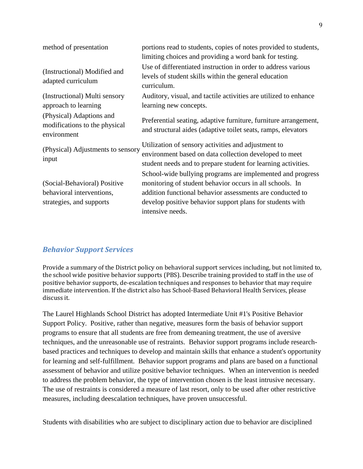| method of presentation                                                                | portions read to students, copies of notes provided to students,<br>limiting choices and providing a word bank for testing.                                                                                                                                          |
|---------------------------------------------------------------------------------------|----------------------------------------------------------------------------------------------------------------------------------------------------------------------------------------------------------------------------------------------------------------------|
| (Instructional) Modified and<br>adapted curriculum                                    | Use of differentiated instruction in order to address various<br>levels of student skills within the general education<br>curriculum.                                                                                                                                |
| (Instructional) Multi sensory<br>approach to learning                                 | Auditory, visual, and tactile activities are utilized to enhance<br>learning new concepts.                                                                                                                                                                           |
| (Physical) Adaptions and<br>modifications to the physical<br>environment              | Preferential seating, adaptive furniture, furniture arrangement,<br>and structural aides (adaptive toilet seats, ramps, elevators                                                                                                                                    |
| (Physical) Adjustments to sensory<br>input                                            | Utilization of sensory activities and adjustment to<br>environment based on data collection developed to meet<br>student needs and to prepare student for learning activities.                                                                                       |
| (Social-Behavioral) Positive<br>behavioral interventions,<br>strategies, and supports | School-wide bullying programs are implemented and progress<br>monitoring of student behavior occurs in all schools. In<br>addition functional behavior assessments are conducted to<br>develop positive behavior support plans for students with<br>intensive needs. |

#### *Behavior Support Services*

Provide a summary of the District policy on behavioral support services including, but not limited to, the school wide positive behavior supports (PBS). Describe training provided to staff in the use of positive behavior supports, de-escalation techniques and responses to behavior that may require immediate intervention. If the district also has School-Based Behavioral Health Services, please discuss it.

The Laurel Highlands School District has adopted Intermediate Unit #1's Positive Behavior Support Policy. Positive, rather than negative, measures form the basis of behavior support programs to ensure that all students are free from demeaning treatment, the use of aversive techniques, and the unreasonable use of restraints. Behavior support programs include researchbased practices and techniques to develop and maintain skills that enhance a student's opportunity for learning and self-fulfillment. Behavior support programs and plans are based on a functional assessment of behavior and utilize positive behavior techniques. When an intervention is needed to address the problem behavior, the type of intervention chosen is the least intrusive necessary. The use of restraints is considered a measure of last resort, only to be used after other restrictive measures, including deescalation techniques, have proven unsuccessful.

Students with disabilities who are subject to disciplinary action due to behavior are disciplined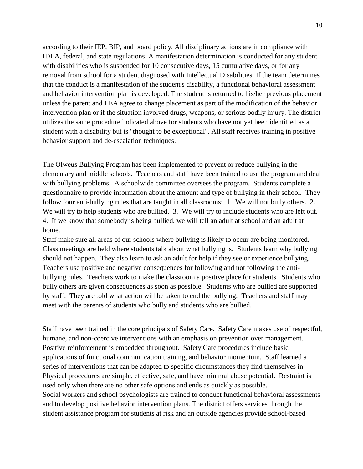according to their IEP, BIP, and board policy. All disciplinary actions are in compliance with IDEA, federal, and state regulations. A manifestation determination is conducted for any student with disabilities who is suspended for 10 consecutive days, 15 cumulative days, or for any removal from school for a student diagnosed with Intellectual Disabilities. If the team determines that the conduct is a manifestation of the student's disability, a functional behavioral assessment and behavior intervention plan is developed. The student is returned to his/her previous placement unless the parent and LEA agree to change placement as part of the modification of the behavior intervention plan or if the situation involved drugs, weapons, or serious bodily injury. The district utilizes the same procedure indicated above for students who have not yet been identified as a student with a disability but is "thought to be exceptional". All staff receives training in positive behavior support and de-escalation techniques.

The Olweus Bullying Program has been implemented to prevent or reduce bullying in the elementary and middle schools. Teachers and staff have been trained to use the program and deal with bullying problems. A schoolwide committee oversees the program. Students complete a questionnaire to provide information about the amount and type of bullying in their school. They follow four anti-bullying rules that are taught in all classrooms: 1. We will not bully others. 2. We will try to help students who are bullied. 3. We will try to include students who are left out. 4. If we know that somebody is being bullied, we will tell an adult at school and an adult at home.

Staff make sure all areas of our schools where bullying is likely to occur are being monitored. Class meetings are held where students talk about what bullying is. Students learn why bullying should not happen. They also learn to ask an adult for help if they see or experience bullying. Teachers use positive and negative consequences for following and not following the antibullying rules. Teachers work to make the classroom a positive place for students. Students who bully others are given consequences as soon as possible. Students who are bullied are supported by staff. They are told what action will be taken to end the bullying. Teachers and staff may meet with the parents of students who bully and students who are bullied.

Staff have been trained in the core principals of Safety Care. Safety Care makes use of respectful, humane, and non-coercive interventions with an emphasis on prevention over management. Positive reinforcement is embedded throughout. Safety Care procedures include basic applications of functional communication training, and behavior momentum. Staff learned a series of interventions that can be adapted to specific circumstances they find themselves in. Physical procedures are simple, effective, safe, and have minimal abuse potential. Restraint is used only when there are no other safe options and ends as quickly as possible. Social workers and school psychologists are trained to conduct functional behavioral assessments and to develop positive behavior intervention plans. The district offers services through the student assistance program for students at risk and an outside agencies provide school-based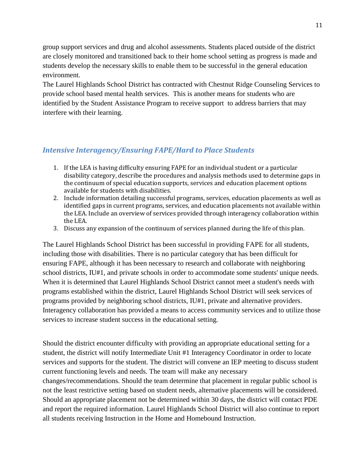group support services and drug and alcohol assessments. Students placed outside of the district are closely monitored and transitioned back to their home school setting as progress is made and students develop the necessary skills to enable them to be successful in the general education environment.

The Laurel Highlands School District has contracted with Chestnut Ridge Counseling Services to provide school based mental health services. This is another means for students who are identified by the Student Assistance Program to receive support to address barriers that may interfere with their learning.

#### *Intensive Interagency/Ensuring FAPE/Hard to Place Students*

- 1. If the LEA is having difficulty ensuring FAPE for an individual student or a particular disability category, describe the procedures and analysis methods used to determine gaps in the continuum of special education supports, services and education placement options available for students with disabilities.
- 2. Include information detailing successful programs, services, education placements as well as identified gaps in current programs, services, and education placements not available within the LEA. Include an overview of services provided through interagency collaboration within the LEA.
- 3. Discuss any expansion of the continuum of services planned during the life of this plan.

The Laurel Highlands School District has been successful in providing FAPE for all students, including those with disabilities. There is no particular category that has been difficult for ensuring FAPE, although it has been necessary to research and collaborate with neighboring school districts, IU#1, and private schools in order to accommodate some students' unique needs. When it is determined that Laurel Highlands School District cannot meet a student's needs with programs established within the district, Laurel Highlands School District will seek services of programs provided by neighboring school districts, IU#1, private and alternative providers. Interagency collaboration has provided a means to access community services and to utilize those services to increase student success in the educational setting.

Should the district encounter difficulty with providing an appropriate educational setting for a student, the district will notify Intermediate Unit #1 Interagency Coordinator in order to locate services and supports for the student. The district will convene an IEP meeting to discuss student current functioning levels and needs. The team will make any necessary changes/recommendations. Should the team determine that placement in regular public school is not the least restrictive setting based on student needs, alternative placements will be considered. Should an appropriate placement not be determined within 30 days, the district will contact PDE and report the required information. Laurel Highlands School District will also continue to report all students receiving Instruction in the Home and Homebound Instruction.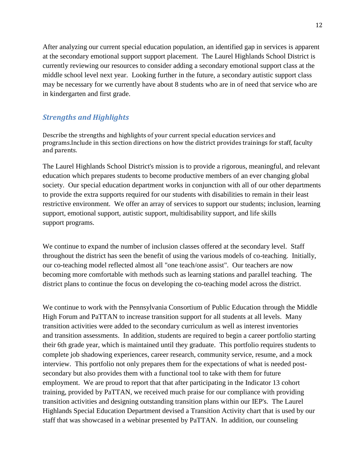After analyzing our current special education population, an identified gap in services is apparent at the secondary emotional support support placement. The Laurel Highlands School District is currently reviewing our resources to consider adding a secondary emotional support class at the middle school level next year. Looking further in the future, a secondary autistic support class may be necessary for we currently have about 8 students who are in of need that service who are in kindergarten and first grade.

#### *Strengths and Highlights*

Describe the strengths and highlights of your current special education services and programs.Include in this section directions on how the district provides trainings for staff, faculty and parents.

The Laurel Highlands School District's mission is to provide a rigorous, meaningful, and relevant education which prepares students to become productive members of an ever changing global society. Our special education department works in conjunction with all of our other departments to provide the extra supports required for our students with disabilities to remain in their least restrictive environment. We offer an array of services to support our students; inclusion, learning support, emotional support, autistic support, multidisability support, and life skills support programs.

We continue to expand the number of inclusion classes offered at the secondary level. Staff throughout the district has seen the benefit of using the various models of co-teaching. Initially, our co-teaching model reflected almost all "one teach/one assist". Our teachers are now becoming more comfortable with methods such as learning stations and parallel teaching. The district plans to continue the focus on developing the co-teaching model across the district.

We continue to work with the Pennsylvania Consortium of Public Education through the Middle High Forum and PaTTAN to increase transition support for all students at all levels. Many transition activities were added to the secondary curriculum as well as interest inventories and transition assessments. In addition, students are required to begin a career portfolio starting their 6th grade year, which is maintained until they graduate. This portfolio requires students to complete job shadowing experiences, career research, community service, resume, and a mock interview. This portfolio not only prepares them for the expectations of what is needed postsecondary but also provides them with a functional tool to take with them for future employment. We are proud to report that that after participating in the Indicator 13 cohort training, provided by PaTTAN, we received much praise for our compliance with providing transition activities and designing outstanding transition plans within our IEP's. The Laurel Highlands Special Education Department devised a Transition Activity chart that is used by our staff that was showcased in a webinar presented by PaTTAN. In addition, our counseling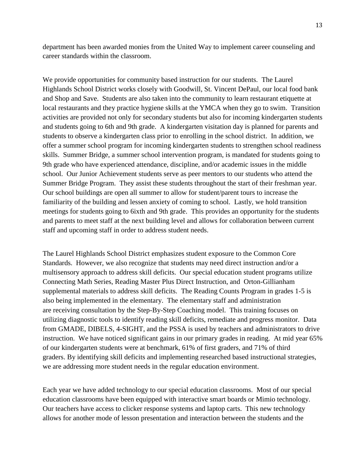department has been awarded monies from the United Way to implement career counseling and career standards within the classroom.

We provide opportunities for community based instruction for our students. The Laurel Highlands School District works closely with Goodwill, St. Vincent DePaul, our local food bank and Shop and Save. Students are also taken into the community to learn restaurant etiquette at local restaurants and they practice hygiene skills at the YMCA when they go to swim. Transition activities are provided not only for secondary students but also for incoming kindergarten students and students going to 6th and 9th grade. A kindergarten visitation day is planned for parents and students to observe a kindergarten class prior to enrolling in the school district. In addition, we offer a summer school program for incoming kindergarten students to strengthen school readiness skills. Summer Bridge, a summer school intervention program, is mandated for students going to 9th grade who have experienced attendance, discipline, and/or academic issues in the middle school. Our Junior Achievement students serve as peer mentors to our students who attend the Summer Bridge Program. They assist these students throughout the start of their freshman year. Our school buildings are open all summer to allow for student/parent tours to increase the familiarity of the building and lessen anxiety of coming to school. Lastly, we hold transition meetings for students going to 6ixth and 9th grade. This provides an opportunity for the students and parents to meet staff at the next building level and allows for collaboration between current staff and upcoming staff in order to address student needs.

The Laurel Highlands School District emphasizes student exposure to the Common Core Standards. However, we also recognize that students may need direct instruction and/or a multisensory approach to address skill deficits. Our special education student programs utilize Connecting Math Series, Reading Master Plus Direct Instruction, and Orton-Gillianham supplemental materials to address skill deficits. The Reading Counts Program in grades 1-5 is also being implemented in the elementary. The elementary staff and administration are receiving consultation by the Step-By-Step Coaching model. This training focuses on utilizing diagnostic tools to identify reading skill deficits, remediate and progress monitor. Data from GMADE, DIBELS, 4-SIGHT, and the PSSA is used by teachers and administrators to drive instruction. We have noticed significant gains in our primary grades in reading. At mid year 65% of our kindergarten students were at benchmark, 61% of first graders, and 71% of third graders. By identifying skill deficits and implementing researched based instructional strategies, we are addressing more student needs in the regular education environment.

Each year we have added technology to our special education classrooms. Most of our special education classrooms have been equipped with interactive smart boards or Mimio technology. Our teachers have access to clicker response systems and laptop carts. This new technology allows for another mode of lesson presentation and interaction between the students and the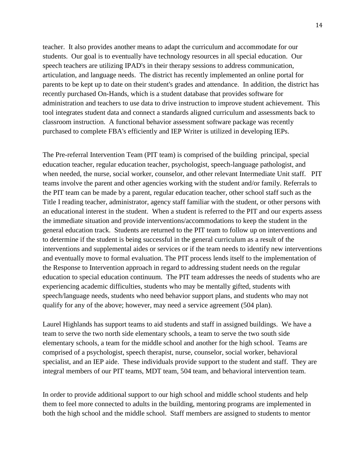teacher. It also provides another means to adapt the curriculum and accommodate for our students. Our goal is to eventually have technology resources in all special education. Our speech teachers are utilizing IPAD's in their therapy sessions to address communication, articulation, and language needs. The district has recently implemented an online portal for parents to be kept up to date on their student's grades and attendance. In addition, the district has recently purchased On-Hands, which is a student database that provides software for administration and teachers to use data to drive instruction to improve student achievement. This tool integrates student data and connect a standards aligned curriculum and assessments back to classroom instruction. A functional behavior assessment software package was recently purchased to complete FBA's efficiently and IEP Writer is utilized in developing IEPs.

The Pre-referral Intervention Team (PIT team) is comprised of the building principal, special education teacher, regular education teacher, psychologist, speech-language pathologist, and when needed, the nurse, social worker, counselor, and other relevant Intermediate Unit staff. PIT teams involve the parent and other agencies working with the student and/or family. Referrals to the PIT team can be made by a parent, regular education teacher, other school staff such as the Title I reading teacher, administrator, agency staff familiar with the student, or other persons with an educational interest in the student. When a student is referred to the PIT and our experts assess the immediate situation and provide interventions/accommodations to keep the student in the general education track. Students are returned to the PIT team to follow up on interventions and to determine if the student is being successful in the general curriculum as a result of the interventions and supplemental aides or services or if the team needs to identify new interventions and eventually move to formal evaluation. The PIT process lends itself to the implementation of the Response to Intervention approach in regard to addressing student needs on the regular education to special education continuum. The PIT team addresses the needs of students who are experiencing academic difficulties, students who may be mentally gifted, students with speech/language needs, students who need behavior support plans, and students who may not qualify for any of the above; however, may need a service agreement (504 plan).

Laurel Highlands has support teams to aid students and staff in assigned buildings. We have a team to serve the two north side elementary schools, a team to serve the two south side elementary schools, a team for the middle school and another for the high school. Teams are comprised of a psychologist, speech therapist, nurse, counselor, social worker, behavioral specialist, and an IEP aide. These individuals provide support to the student and staff. They are integral members of our PIT teams, MDT team, 504 team, and behavioral intervention team.

In order to provide additional support to our high school and middle school students and help them to feel more connected to adults in the building, mentoring programs are implemented in both the high school and the middle school. Staff members are assigned to students to mentor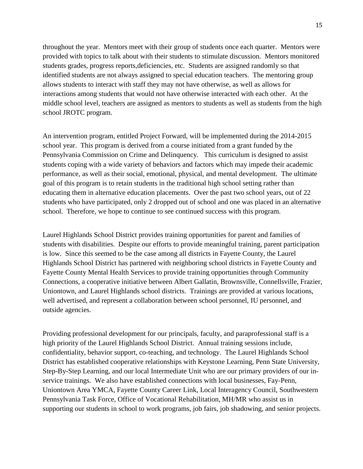throughout the year. Mentors meet with their group of students once each quarter. Mentors were provided with topics to talk about with their students to stimulate discussion. Mentors monitored students grades, progress reports,deficiencies, etc. Students are assigned randomly so that identified students are not always assigned to special education teachers. The mentoring group allows students to interact with staff they may not have otherwise, as well as allows for interactions among students that would not have otherwise interacted with each other. At the middle school level, teachers are assigned as mentors to students as well as students from the high school JROTC program.

An intervention program, entitled Project Forward, will be implemented during the 2014-2015 school year. This program is derived from a course initiated from a grant funded by the Pennsylvania Commission on Crime and Delinquency. This curriculum is designed to assist students coping with a wide variety of behaviors and factors which may impede their academic performance, as well as their social, emotional, physical, and mental development. The ultimate goal of this program is to retain students in the traditional high school setting rather than educating them in alternative education placements. Over the past two school years, out of 22 students who have participated, only 2 dropped out of school and one was placed in an alternative school. Therefore, we hope to continue to see continued success with this program.

Laurel Highlands School District provides training opportunities for parent and families of students with disabilities. Despite our efforts to provide meaningful training, parent participation is low. Since this seemed to be the case among all districts in Fayette County, the Laurel Highlands School District has partnered with neighboring school districts in Fayette County and Fayette County Mental Health Services to provide training opportunities through Community Connections, a cooperative initiative between Albert Gallatin, Brownsville, Connellsville, Frazier, Uniontown, and Laurel Highlands school districts. Trainings are provided at various locations, well advertised, and represent a collaboration between school personnel, IU personnel, and outside agencies.

Providing professional development for our principals, faculty, and paraprofessional staff is a high priority of the Laurel Highlands School District. Annual training sessions include, confidentiality, behavior support, co-teaching, and technology. The Laurel Highlands School District has established cooperative relationships with Keystone Learning, Penn State University, Step-By-Step Learning, and our local Intermediate Unit who are our primary providers of our inservice trainings. We also have established connections with local businesses, Fay-Penn, Uniontown Area YMCA, Fayette County Career Link, Local Interagency Council, Southwestern Pennsylvania Task Force, Office of Vocational Rehabilitation, MH/MR who assist us in supporting our students in school to work programs, job fairs, job shadowing, and senior projects.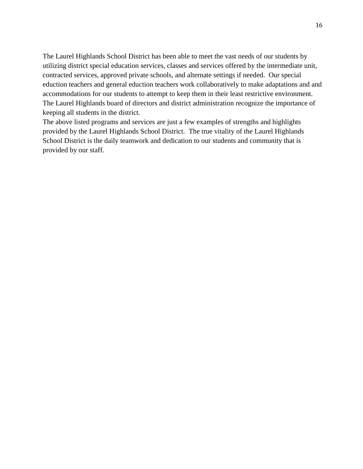The Laurel Highlands School District has been able to meet the vast needs of our students by utilizing district special education services, classes and services offered by the intermediate unit, contracted services, approved private schools, and alternate settings if needed. Our special eduction teachers and general eduction teachers work collaboratively to make adaptations and and accommodations for our students to attempt to keep them in their least restrictive environment. The Laurel Highlands board of directors and district administration recognize the importance of keeping all students in the district.

The above listed programs and services are just a few examples of strengths and highlights provided by the Laurel Highlands School District. The true vitality of the Laurel Highlands School District is the daily teamwork and dedication to our students and community that is provided by our staff.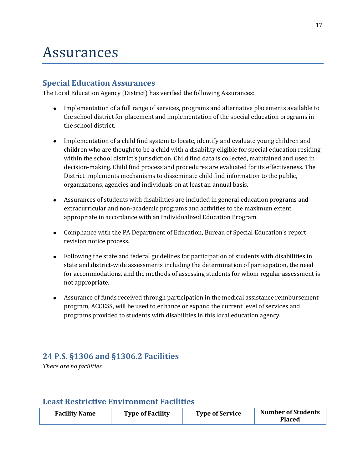## Assurances

### **Special Education Assurances**

The Local Education Agency (District) has verified the following Assurances:

- Implementation of a full range of services, programs and alternative placements available to the school district for placement and implementation of the special education programs in the school district.
- Implementation of a child find system to locate, identify and evaluate young children and children who are thought to be a child with a disability eligible for special education residing within the school district's jurisdiction. Child find data is collected, maintained and used in decision-making. Child find process and procedures are evaluated for its effectiveness. The District implements mechanisms to disseminate child find information to the public, organizations, agencies and individuals on at least an annual basis.
- Assurances of students with disabilities are included in general education programs and extracurricular and non-academic programs and activities to the maximum extent appropriate in accordance with an Individualized Education Program.
- Compliance with the PA Department of Education, Bureau of Special Education's report revision notice process.
- Following the state and federal guidelines for participation of students with disabilities in state and district-wide assessments including the determination of participation, the need for accommodations, and the methods of assessing students for whom regular assessment is not appropriate.
- Assurance of funds received through participation in the medical assistance reimbursement program, ACCESS, will be used to enhance or expand the current level of services and programs provided to students with disabilities in this local education agency.

## **24 P.S. §1306 and §1306.2 Facilities**

*There are no facilities.*

### **Least Restrictive Environment Facilities**

| <b>Facility Name</b><br><b>Type of Facility</b> | <b>Type of Service</b> | <b>Number of Students</b><br><b>Placed</b> |
|-------------------------------------------------|------------------------|--------------------------------------------|
|-------------------------------------------------|------------------------|--------------------------------------------|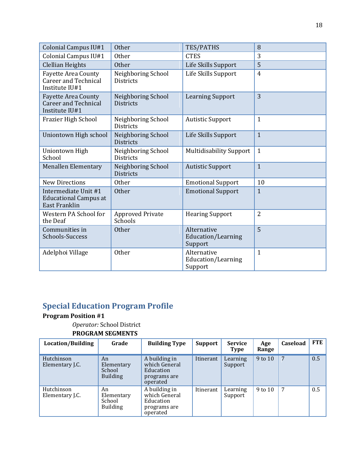| Colonial Campus IU#1                                                         | <b>Other</b>                           | TES/PATHS                                    | 8              |
|------------------------------------------------------------------------------|----------------------------------------|----------------------------------------------|----------------|
| Colonial Campus IU#1                                                         | <b>Other</b>                           | <b>CTES</b>                                  | 3              |
| <b>Clellian Heights</b>                                                      | <b>Other</b>                           | Life Skills Support                          | 5              |
| <b>Fayette Area County</b><br><b>Career and Technical</b><br>Institute IU#1  | Neighboring School<br><b>Districts</b> | Life Skills Support                          | $\overline{4}$ |
| <b>Fayette Area County</b><br><b>Career and Technical</b><br>Institute IU#1  | Neighboring School<br><b>Districts</b> | <b>Learning Support</b>                      | 3              |
| Frazier High School                                                          | Neighboring School<br><b>Districts</b> | <b>Autistic Support</b>                      | $\mathbf{1}$   |
| Uniontown High school                                                        | Neighboring School<br><b>Districts</b> | Life Skills Support                          | $\mathbf{1}$   |
| Uniontown High<br>School                                                     | Neighboring School<br><b>Districts</b> | <b>Multidisability Support</b>               | $\mathbf{1}$   |
| <b>Menallen Elementary</b>                                                   | Neighboring School<br><b>Districts</b> | <b>Autistic Support</b>                      | $\mathbf{1}$   |
| <b>New Directions</b>                                                        | <b>Other</b>                           | <b>Emotional Support</b>                     | 10             |
| Intermediate Unit #1<br><b>Educational Campus at</b><br><b>East Franklin</b> | Other                                  | <b>Emotional Support</b>                     | $\mathbf{1}$   |
| Western PA School for<br>the Deaf                                            | <b>Approved Private</b><br>Schools     | <b>Hearing Support</b>                       | $\overline{2}$ |
| Communities in<br>Schools-Success                                            | <b>Other</b>                           | Alternative<br>Education/Learning<br>Support | 5              |
| Adelphoi Village                                                             | Other                                  | Alternative<br>Education/Learning<br>Support | $\mathbf{1}$   |

## **Special Education Program Profile**

#### **Program Position #1**

## *Operator:* School District

| Location/Building             | Grade                                         | <b>Building Type</b>                                                    | <b>Support</b> | <b>Service</b><br><b>Type</b> | Age<br>Range | Caseload        | FTE |
|-------------------------------|-----------------------------------------------|-------------------------------------------------------------------------|----------------|-------------------------------|--------------|-----------------|-----|
| Hutchinson<br>Elementary J.C. | An<br>Elementary<br>School<br><b>Building</b> | A building in<br>which General<br>Education<br>programs are<br>operated | Itinerant      | Learning<br>Support           | 9 to 10      | $7\phantom{.0}$ | 0.5 |
| Hutchinson<br>Elementary J.C. | An<br>Elementary<br>School<br><b>Building</b> | A building in<br>which General<br>Education<br>programs are<br>operated | Itinerant      | Learning<br>Support           | 9 to 10      | 7               | 0.5 |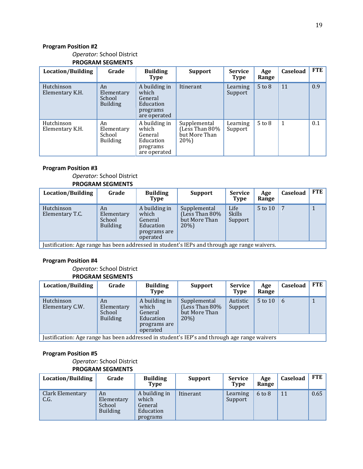#### *Operator:* School District **PROGRAM SEGMENTS**

| Location/Building             | Grade                                         | <b>Building</b><br>Type                                                    | <b>Support</b>                                         | <b>Service</b><br><b>Type</b> | Age<br>Range | Caseload | <b>FTE</b> |
|-------------------------------|-----------------------------------------------|----------------------------------------------------------------------------|--------------------------------------------------------|-------------------------------|--------------|----------|------------|
| Hutchinson<br>Elementary K.H. | An<br>Elementary<br>School<br><b>Building</b> | A building in<br>which<br>General<br>Education<br>programs<br>are operated | Itinerant                                              | Learning<br>Support           | $5$ to $8$   | 11       | 0.9        |
| Hutchinson<br>Elementary K.H. | An<br>Elementary<br>School<br><b>Building</b> | A building in<br>which<br>General<br>Education<br>programs<br>are operated | Supplemental<br>Less Than 80%<br>but More Than<br>20%) | Learning<br>Support           | $5$ to $8$   | 1        | 0.1        |

#### **Program Position #3**

#### *Operator:* School District **PROGRAM SEGMENTS**

| Location/Building                                                                           | Grade                                         | <b>Building</b><br>Type                                                    | <b>Support</b>                                                 | <b>Service</b><br><b>Type</b>    | Age<br>Range | Caseload | <b>FTE</b> |
|---------------------------------------------------------------------------------------------|-----------------------------------------------|----------------------------------------------------------------------------|----------------------------------------------------------------|----------------------------------|--------------|----------|------------|
| Hutchinson<br>Elementary T.C.                                                               | An<br>Elementary<br>School<br><b>Building</b> | A building in<br>which<br>General<br>Education<br>programs are<br>operated | Supplemental<br>(Less Than $80\%$ )<br>but More Than<br>$20\%$ | Life<br><b>Skills</b><br>Support | 5 to 10      |          |            |
| Iustification: Age range has been addressed in student's IFPs and through age range waivers |                                               |                                                                            |                                                                |                                  |              |          |            |

Justification: Age range has been addressed in student's IEPs and through age range waivers.

#### **Program Position #4**

#### *Operator:* School District **PROGRAM SEGMENTS**

| Location/Building                                                                            | Grade                                         | <b>Building</b><br>Type                                                    | Support                                                        | <b>Service</b><br><b>Type</b> | Age<br>Range | Caseload | FTE |
|----------------------------------------------------------------------------------------------|-----------------------------------------------|----------------------------------------------------------------------------|----------------------------------------------------------------|-------------------------------|--------------|----------|-----|
| Hutchinson<br>Elementary C.W.                                                                | An<br>Elementary<br>School<br><b>Building</b> | A building in<br>which<br>General<br>Education<br>programs are<br>operated | Supplemental<br>(Less Than $80\%$ )<br>but More Than<br>$20\%$ | Autistic<br>Support           | 5 to 10      | 6        |     |
| Justification: Age range has been addressed in student's IEP's and through age range waivers |                                               |                                                                            |                                                                |                               |              |          |     |

#### **Program Position #5**

#### *Operator:* School District **PROGRAM SEGMENTS**

| Location/Building        | Grade                                         | <b>Building</b><br><b>Type</b>                             | <b>Support</b> | <b>Service</b><br><b>Type</b> | Age<br>Range | Caseload | <b>FTE</b> |
|--------------------------|-----------------------------------------------|------------------------------------------------------------|----------------|-------------------------------|--------------|----------|------------|
| Clark Elementary<br>C.G. | An<br>Elementary<br>School<br><b>Building</b> | A building in<br>which<br>General<br>Education<br>programs | Itinerant      | Learning<br>Support           | $6$ to $8$   | 11       | 0.65       |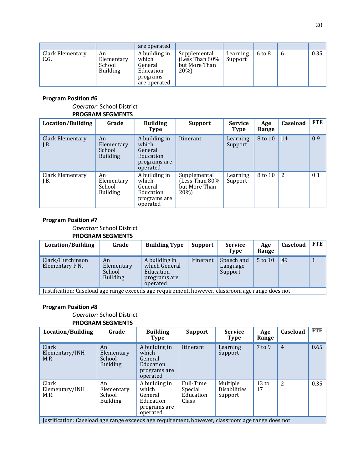|                          |                                               | are operated                                                               |                                                         |                     |                   |             |      |
|--------------------------|-----------------------------------------------|----------------------------------------------------------------------------|---------------------------------------------------------|---------------------|-------------------|-------------|------|
| Clark Elementary<br>C.G. | An<br>Elementary<br>School<br><b>Building</b> | A building in<br>which<br>General<br>Education<br>programs<br>are operated | Supplemental<br>(Less Than 80%<br>but More Than<br>20%) | Learning<br>Support | $6 \text{ to } 8$ | $\mathbf b$ | 0.35 |

#### *Operator:* School District **PROGRAM SEGMENTS**

| Location/Building               | Grade                                         | <b>Building</b><br><b>Type</b>                                             | <b>Support</b>                                            | <b>Service</b><br><b>Type</b> | Age<br>Range | Caseload | FTE |
|---------------------------------|-----------------------------------------------|----------------------------------------------------------------------------|-----------------------------------------------------------|-------------------------------|--------------|----------|-----|
| <b>Clark Elementary</b><br>J.B. | An<br>Elementary<br>School<br><b>Building</b> | A building in<br>which<br>General<br>Education<br>programs are<br>operated | Itinerant                                                 | Learning<br>Support           | 8 to 10      | 14       | 0.9 |
| Clark Elementary<br>J.B.        | An<br>Elementary<br>School<br><b>Building</b> | A building in<br>which<br>General<br>Education<br>programs are<br>operated | Supplemental<br>(Less Than 80%<br>but More Than<br>$20\%$ | Learning<br>Support           | 8 to 10      | 2        | 0.1 |

#### **Program Position #7**

#### *Operator:* School District **PROGRAM SEGMENTS**

| Location/Building                                                                                 | Grade                                         | <b>Building Type</b>                                                    | Support   | <b>Service</b><br><b>Type</b>     | Age<br>Range | Caseload | <b>FTE</b> |
|---------------------------------------------------------------------------------------------------|-----------------------------------------------|-------------------------------------------------------------------------|-----------|-----------------------------------|--------------|----------|------------|
| Clark/Hutchinson<br>Elementary P.N.                                                               | An<br>Elementary<br>School<br><b>Building</b> | A building in<br>which General<br>Education<br>programs are<br>operated | Itinerant | Speech and<br>Language<br>Support | 5 to 10      | 49       |            |
| Justification: Caseload age range exceeds age requirement, however, classroom age range does not. |                                               |                                                                         |           |                                   |              |          |            |

#### **Program Position #8**

#### *Operator:* School District **PROGRAM SEGMENTS**

| Location/Building                                                                                 | Grade                                         | <b>Building</b><br><b>Type</b>                                             | <b>Support</b>                             | <b>Service</b><br><b>Type</b>              | Age<br>Range          | Caseload       | FTE  |
|---------------------------------------------------------------------------------------------------|-----------------------------------------------|----------------------------------------------------------------------------|--------------------------------------------|--------------------------------------------|-----------------------|----------------|------|
| Clark<br>Elementary/INH<br>M.R.                                                                   | An<br>Elementary<br>School<br><b>Building</b> | A building in<br>which<br>General<br>Education<br>programs are<br>operated | Itinerant                                  | Learning<br>Support                        | $7$ to 9              | $\overline{4}$ | 0.65 |
| Clark<br>Elementary/INH<br>M.R.                                                                   | An<br>Elementary<br>School<br><b>Building</b> | A building in<br>which<br>General<br>Education<br>programs are<br>operated | Full-Time<br>Special<br>Education<br>Class | Multiple<br><b>Disabilities</b><br>Support | $13 \text{ to}$<br>17 | 2              | 0.35 |
| Justification: Caseload age range exceeds age requirement, however, classroom age range does not. |                                               |                                                                            |                                            |                                            |                       |                |      |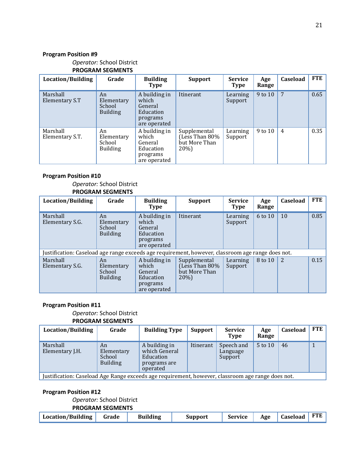#### *Operator:* School District **PROGRAM SEGMENTS**

| Location/Building           | Grade                                         | <b>Building</b><br>Type                                                    | <b>Support</b>                                          | <b>Service</b><br><b>Type</b> | Age<br>Range | Caseload        | <b>FTE</b> |
|-----------------------------|-----------------------------------------------|----------------------------------------------------------------------------|---------------------------------------------------------|-------------------------------|--------------|-----------------|------------|
| Marshall<br>Elementary S.T  | An<br>Elementary<br>School<br><b>Building</b> | A building in<br>which<br>General<br>Education<br>programs<br>are operated | Itinerant                                               | Learning<br>Support           | 9 to 10      | $7\phantom{.0}$ | 0.65       |
| Marshall<br>Elementary S.T. | An<br>Elementary<br>School<br><b>Building</b> | A building in<br>which<br>General<br>Education<br>programs<br>are operated | Supplemental<br>Less Than 80%)<br>but More Than<br>20%) | Learning<br>Support           | 9 to 10      | $\overline{4}$  | 0.35       |

#### **Program Position #10**

#### *Operator:* School District **PROGRAM SEGMENTS**

| Location/Building                                                                                 | Grade                                         | <b>Building</b><br>Type                                                    | <b>Support</b>                                           | <b>Service</b><br><b>Type</b> | Age<br>Range | Caseload | <b>FTE</b> |
|---------------------------------------------------------------------------------------------------|-----------------------------------------------|----------------------------------------------------------------------------|----------------------------------------------------------|-------------------------------|--------------|----------|------------|
| Marshall<br>Elementary S.G.                                                                       | An<br>Elementary<br>School<br><b>Building</b> | A building in<br>which<br>General<br>Education<br>programs<br>are operated | Itinerant                                                | Learning<br>Support           | 6 to 10      | 10       | 0.85       |
| Justification: Caseload age range exceeds age requirement, however, classroom age range does not. |                                               |                                                                            |                                                          |                               |              |          |            |
| Marshall<br>Elementary S.G.                                                                       | An<br>Elementary<br>School<br><b>Building</b> | A building in<br>which<br>General<br>Education<br>programs<br>are operated | Supplemental<br>Less Than 80%<br>but More Than<br>$20\%$ | Learning<br>Support           | 8 to 10      | 2        | 0.15       |

#### **Program Position #11**

#### *Operator:* School District **PROGRAM SEGMENTS**

| Location/Building           | Grade                                         | <b>Building Type</b>                                                    | Support                                                                                           | <b>Service</b><br>Type            | Age<br>Range | Caseload | <b>FTE</b> |  |  |  |  |  |
|-----------------------------|-----------------------------------------------|-------------------------------------------------------------------------|---------------------------------------------------------------------------------------------------|-----------------------------------|--------------|----------|------------|--|--|--|--|--|
| Marshall<br>Elementary J.H. | An<br>Elementary<br>School<br><b>Building</b> | A building in<br>which General<br>Education<br>programs are<br>operated | Itinerant                                                                                         | Speech and<br>Language<br>Support | 5 to 10      | 46       |            |  |  |  |  |  |
|                             |                                               |                                                                         | Justification: Caseload Age Range exceeds age requirement, however, classroom age range does not. |                                   |              |          |            |  |  |  |  |  |

Justification: Caseload Age Range exceeds age requirement, however, classroom age range does not.

#### **Program Position #12**

#### *Operator:* School District

| Location/Building   Grade | <b>Building</b> | <b>Support</b> | Service Age Caseload FTE |  |  |
|---------------------------|-----------------|----------------|--------------------------|--|--|
|                           |                 |                |                          |  |  |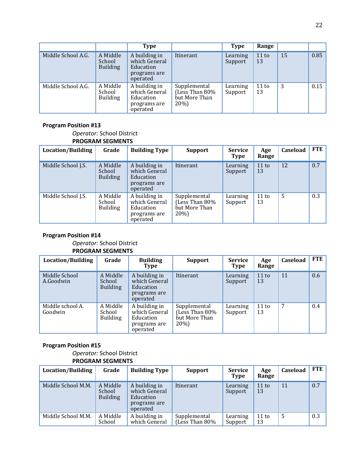|                    |                                       | <b>Type</b>                                                             |                                                         | <b>Type</b>         | Range       |    |      |
|--------------------|---------------------------------------|-------------------------------------------------------------------------|---------------------------------------------------------|---------------------|-------------|----|------|
| Middle School A.G. | A Middle<br>School<br><b>Building</b> | A building in<br>which General<br>Education<br>programs are<br>operated | Itinerant                                               | Learning<br>Support | 11 to<br>13 | 15 | 0.85 |
| Middle School A.G. | A Middle<br>School<br><b>Building</b> | A building in<br>which General<br>Education<br>programs are<br>operated | Supplemental<br>(Less Than 80%<br>but More Than<br>20%) | Learning<br>Support | 11 to<br>13 | 3  | 0.15 |

#### *Operator:* School District **PROGRAM SEGMENTS**

| <b>Location/Building</b> | Grade                                 | <b>Building Type</b>                                                    | <b>Support</b>                                          | <b>Service</b><br><b>Type</b> | Age<br>Range | Caseload | <b>FTE</b> |
|--------------------------|---------------------------------------|-------------------------------------------------------------------------|---------------------------------------------------------|-------------------------------|--------------|----------|------------|
| Middle School J.S.       | A Middle<br>School<br><b>Building</b> | A building in<br>which General<br>Education<br>programs are<br>operated | Itinerant                                               | Learning<br>Support           | 11 to<br>13  | 12       | 0.7        |
| Middle School J.S.       | A Middle<br>School<br><b>Building</b> | A building in<br>which General<br>Education<br>programs are<br>operated | Supplemental<br>(Less Than 80%<br>but More Than<br>20%) | Learning<br>Support           | 11 to<br>13  | 5        | 0.3        |

#### **Program Position #14**

#### *Operator:* School District **PROGRAM SEGMENTS**

| Location/Building           | Grade                                 | <b>Building</b><br>Type                                                 | <b>Support</b>                                          | <b>Service</b><br><b>Type</b> | Age<br>Range | Caseload | FTE |
|-----------------------------|---------------------------------------|-------------------------------------------------------------------------|---------------------------------------------------------|-------------------------------|--------------|----------|-----|
| Middle School<br>A.Goodwin  | A Middle<br>School<br><b>Building</b> | A building in<br>which General<br>Education<br>programs are<br>operated | Itinerant                                               | Learning<br>Support           | 11 to<br>13  | 11       | 0.6 |
| Middle school A.<br>Goodwin | A Middle<br>School<br><b>Building</b> | A building in<br>which General<br>Education<br>programs are<br>operated | Supplemental<br>(Less Than 80%<br>but More Than<br>20%) | Learning<br>Support           | 11 to<br>13  | 7        | 0.4 |

#### **Program Position #15**

#### *Operator:* School District **PROGRAM SEGMENTS**

| Location/Building  | Grade                                 | <b>Building Type</b>                                                    | Support                        | <b>Service</b><br><b>Type</b> | Age<br>Range | Caseload | <b>FTE</b> |
|--------------------|---------------------------------------|-------------------------------------------------------------------------|--------------------------------|-------------------------------|--------------|----------|------------|
| Middle School M.M. | A Middle<br>School<br><b>Building</b> | A building in<br>which General<br>Education<br>programs are<br>operated | Itinerant                      | Learning<br>Support           | 11 to<br>13  | 11       | 0.7        |
| Middle School M.M. | A Middle<br>School                    | A building in<br>which General                                          | Supplemental<br>(Less Than 80% | Learning<br>Support           | 11 to<br>13  | 5        | 0.3        |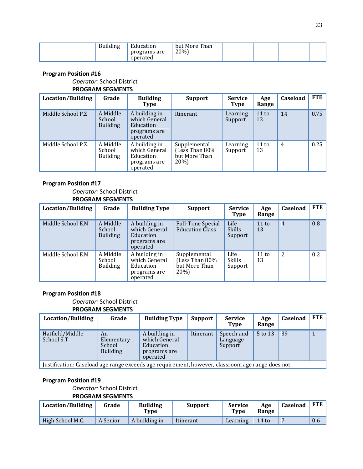| ducation<br>Building<br>programs are<br>operated | Than<br>but More<br>20%) |  |
|--------------------------------------------------|--------------------------|--|
|--------------------------------------------------|--------------------------|--|

#### *Operator:* School District **PROGRAM SEGMENTS**

| Location/Building  | Grade                                 | <b>Building</b><br>Type                                                 | <b>Support</b>                                          | <b>Service</b><br><b>Type</b> | Age<br>Range | Caseload | <b>FTE</b> |
|--------------------|---------------------------------------|-------------------------------------------------------------------------|---------------------------------------------------------|-------------------------------|--------------|----------|------------|
| Middle School P.Z  | A Middle<br>School<br><b>Building</b> | A building in<br>which General<br>Education<br>programs are<br>operated | Itinerant                                               | Learning<br>Support           | 11 to<br>13  | 14       | 0.75       |
| Middle School P.Z. | A Middle<br>School<br><b>Building</b> | A building in<br>which General<br>Education<br>programs are<br>operated | Supplemental<br>(Less Than 80%<br>but More Than<br>20%) | Learning<br>Support           | 11 to<br>13  | 4        | 0.25       |

#### **Program Position #17**

#### *Operator:* School District **PROGRAM SEGMENTS**

| Location/Building | Grade                                 | <b>Building Type</b>                                                    | <b>Support</b>                                          | <b>Service</b><br><b>Type</b>    | Age<br>Range | <b>Caseload</b> | FTE |
|-------------------|---------------------------------------|-------------------------------------------------------------------------|---------------------------------------------------------|----------------------------------|--------------|-----------------|-----|
| Middle School E.M | A Middle<br>School<br><b>Building</b> | A building in<br>which General<br>Education<br>programs are<br>operated | <b>Full-Time Special</b><br><b>Education Class</b>      | Life<br><b>Skills</b><br>Support | 11 to<br>13  | $\overline{4}$  | 0.8 |
| Middle School E.M | A Middle<br>School<br><b>Building</b> | A building in<br>which General<br>Education<br>programs are<br>operated | Supplemental<br>(Less Than 80%<br>but More Than<br>20%) | Life<br><b>Skills</b><br>Support | 11 to<br>13  | 2               | 0.2 |

#### **Program Position #18**

#### *Operator:* School District **PROGRAM SEGMENTS**

| Location/Building                                                                                 | Grade                                         | <b>Building Type</b>                                                    | Support   | <b>Service</b><br>Type            | Age<br>Range | Caseload | <b>FTE</b> |
|---------------------------------------------------------------------------------------------------|-----------------------------------------------|-------------------------------------------------------------------------|-----------|-----------------------------------|--------------|----------|------------|
| Hatfield/Middle<br>School S.T                                                                     | An<br>Elementary<br>School<br><b>Building</b> | A building in<br>which General<br>Education<br>programs are<br>operated | Itinerant | Speech and<br>Language<br>Support | 5 to 13      | 39       |            |
| Justification: Caseload age range exceeds age requirement, however, classroom age range does not. |                                               |                                                                         |           |                                   |              |          |            |

#### **Program Position #19**

#### *Operator:* School District

| <b>Location/Building</b> | Grade    | <b>Building</b><br>Type | <b>Support</b> | <b>Service</b><br>Type | Age<br>Range | <b>Caseload</b> | <b>FTE</b> |
|--------------------------|----------|-------------------------|----------------|------------------------|--------------|-----------------|------------|
| High School M.C.         | A Senior | A building in           | Itinerant      | Learning               | $14$ to      |                 | 0.6        |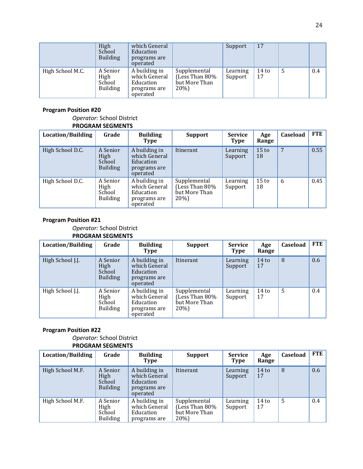|                  | High<br>School<br><b>Building</b>             | which General<br>Education<br>programs are<br>operated                  |                                                         | Support             | 17            |   |     |
|------------------|-----------------------------------------------|-------------------------------------------------------------------------|---------------------------------------------------------|---------------------|---------------|---|-----|
| High School M.C. | A Senior<br>High<br>School<br><b>Building</b> | A building in<br>which General<br>Education<br>programs are<br>operated | Supplemental<br>(Less Than 80%<br>but More Than<br>20%) | Learning<br>Support | $14$ to<br>17 | 5 | 0.4 |

#### *Operator:* School District **PROGRAM SEGMENTS**

| Location/Building | Grade                                         | <b>Building</b><br>Type                                                 | <b>Support</b>                                         | <b>Service</b><br>Type | Age<br>Range           | Caseload | <b>FTE</b> |
|-------------------|-----------------------------------------------|-------------------------------------------------------------------------|--------------------------------------------------------|------------------------|------------------------|----------|------------|
| High School D.C.  | A Senior<br>High<br>School<br><b>Building</b> | A building in<br>which General<br>Education<br>programs are<br>operated | Itinerant                                              | Learning<br>Support    | 15 <sub>to</sub><br>18 | 7        | 0.55       |
| High School D.C.  | A Senior<br>High<br>School<br><b>Building</b> | A building in<br>which General<br>Education<br>programs are<br>operated | Supplemental<br>Less Than 80%<br>but More Than<br>20%) | Learning<br>Support    | 15 <sub>to</sub><br>18 | 6        | 0.45       |

#### **Program Position #21**

#### *Operator:* School District **PROGRAM SEGMENTS**

| Location/Building | Grade                                         | <b>Building</b><br>Type                                                 | <b>Support</b>                                          | <b>Service</b><br><b>Type</b> | Age<br>Range           | <b>Caseload</b> | FTE |
|-------------------|-----------------------------------------------|-------------------------------------------------------------------------|---------------------------------------------------------|-------------------------------|------------------------|-----------------|-----|
| High School J.J.  | A Senior<br>High<br>School<br><b>Building</b> | A building in<br>which General<br>Education<br>programs are<br>operated | Itinerant                                               | Learning<br>Support           | 14 <sub>to</sub><br>17 | 8               | 0.6 |
| High School J.J.  | A Senior<br>High<br>School<br><b>Building</b> | A building in<br>which General<br>Education<br>programs are<br>operated | Supplemental<br>(Less Than 80%<br>but More Than<br>20%) | Learning<br>Support           | 14 <sub>to</sub><br>17 | 5               | 0.4 |

#### **Program Position #22**

#### *Operator:* School District **PROGRAM SEGMENTS**

| <b>Location/Building</b> | Grade                                         | <b>Building</b><br>Type                                                 | <b>Support</b>                                             | <b>Service</b><br><b>Type</b> | Age<br>Range           | Caseload | <b>FTE</b>    |
|--------------------------|-----------------------------------------------|-------------------------------------------------------------------------|------------------------------------------------------------|-------------------------------|------------------------|----------|---------------|
| High School M.F.         | A Senior<br>High<br>School<br><b>Building</b> | A building in<br>which General<br>Education<br>programs are<br>operated | Itinerant                                                  | Learning<br>Support           | 14 <sub>to</sub><br>17 | 8        | 0.6           |
| High School M.F.         | A Senior<br>High<br>School<br><b>Building</b> | A building in<br>which General<br>Education<br>programs are             | Supplemental<br>(Less Than $80\%$<br>but More Than<br>20%) | Learning<br>Support           | $14$ to<br>17          | 5        | $0.4^{\circ}$ |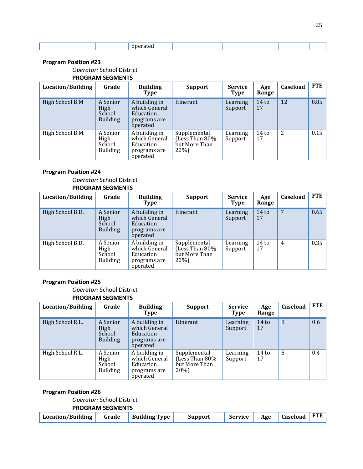#### *Operator:* School District

#### **PROGRAM SEGMENTS**

| Location/Building | Grade                                                | <b>Building</b><br>Type                                                 | <b>Support</b>                                          | <b>Service</b><br><b>Type</b> | Age<br>Range           | Caseload | <b>FTE</b> |
|-------------------|------------------------------------------------------|-------------------------------------------------------------------------|---------------------------------------------------------|-------------------------------|------------------------|----------|------------|
| High School B.M   | A Senior<br><b>High</b><br>School<br><b>Building</b> | A building in<br>which General<br>Education<br>programs are<br>operated | Itinerant                                               | Learning<br>Support           | 14 <sub>to</sub><br>17 | 12       | 0.85       |
| High School B.M.  | A Senior<br>High<br>School<br><b>Building</b>        | A building in<br>which General<br>Education<br>programs are<br>operated | Supplemental<br>(Less Than 80%<br>but More Than<br>20%) | Learning<br>Support           | $14$ to<br>17          | 2        | 0.15       |

#### **Program Position #24**

#### *Operator:* School District **PROGRAM SEGMENTS**

| Location/Building | Grade                                         | <b>Building</b><br>Type                                                 | <b>Support</b>                                          | <b>Service</b><br><b>Type</b> | Age<br>Range  | Caseload | <b>FTE</b> |
|-------------------|-----------------------------------------------|-------------------------------------------------------------------------|---------------------------------------------------------|-------------------------------|---------------|----------|------------|
| High School B.D.  | A Senior<br>High<br>School<br><b>Building</b> | A building in<br>which General<br>Education<br>programs are<br>operated | Itinerant                                               | Learning<br>Support           | $14$ to<br>17 | 7        | 0.65       |
| High School B.D.  | A Senior<br>High<br>School<br><b>Building</b> | A building in<br>which General<br>Education<br>programs are<br>operated | Supplemental<br>Less Than 80%)<br>but More Than<br>20%) | Learning<br>Support           | $14$ to<br>17 | 4        | 0.35       |

#### **Program Position #25**

#### *Operator:* School District **PROGRAM SEGMENTS**

| Location/Building | Grade                                         | <b>Building</b><br><b>Type</b>                                          | <b>Support</b>                                          | <b>Service</b><br><b>Type</b> | Age<br>Range           | Caseload       | <b>FTE</b> |
|-------------------|-----------------------------------------------|-------------------------------------------------------------------------|---------------------------------------------------------|-------------------------------|------------------------|----------------|------------|
| High School R.L.  | A Senior<br>High<br>School<br><b>Building</b> | A building in<br>which General<br>Education<br>programs are<br>operated | Itinerant                                               | Learning<br>Support           | 14 <sub>to</sub><br>17 | 8              | 0.6        |
| High School R.L.  | A Senior<br>High<br>School<br><b>Building</b> | A building in<br>which General<br>Education<br>programs are<br>operated | Supplemental<br>(Less Than 80%<br>but More Than<br>20%) | Learning<br>Support           | 14 <sub>to</sub><br>17 | $\overline{5}$ | 0.4        |

#### **Program Position #26**

#### *Operator:* School District

| Location/Building   Grade   Building Type   Support |  |  | Service   Age   Caseload   FTE |  |
|-----------------------------------------------------|--|--|--------------------------------|--|
|                                                     |  |  |                                |  |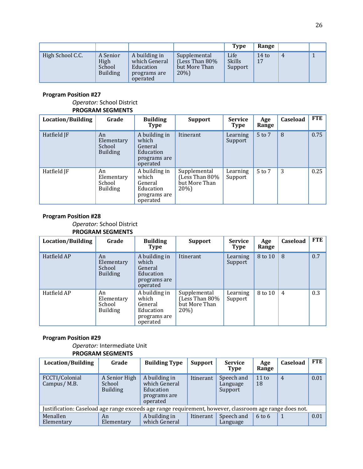|                  |                                               |                                                                         |                                                        | Type                             | Range         |   |  |
|------------------|-----------------------------------------------|-------------------------------------------------------------------------|--------------------------------------------------------|----------------------------------|---------------|---|--|
| High School C.C. | A Senior<br>High<br>School<br><b>Building</b> | A building in<br>which General<br>Education<br>programs are<br>operated | Supplemental<br>(Less Than 80%<br>but More Than<br>20% | Life<br><b>Skills</b><br>Support | $14$ to<br>17 | 4 |  |

#### *Operator:* School District **PROGRAM SEGMENTS**

| Location/Building | Grade                                         | <b>Building</b><br>Type                                                    | <b>Support</b>                                          | <b>Service</b><br><b>Type</b> | Age<br>Range | <b>Caseload</b> | <b>FTE</b> |
|-------------------|-----------------------------------------------|----------------------------------------------------------------------------|---------------------------------------------------------|-------------------------------|--------------|-----------------|------------|
| Hatfield JF       | An<br>Elementary<br>School<br><b>Building</b> | A building in<br>which<br>General<br>Education<br>programs are<br>operated | Itinerant                                               | Learning<br>Support           | 5 to 7       | 8               | 0.75       |
| Hatfield JF       | An<br>Elementary<br>School<br><b>Building</b> | A building in<br>which<br>General<br>Education<br>programs are<br>operated | Supplemental<br>(Less Than 80%<br>but More Than<br>20%) | Learning<br>Support           | 5 to 7       | 3               | 0.25       |

#### **Program Position #28**

*Operator:* School District

#### **PROGRAM SEGMENTS**

| Location/Building | Grade                                         | <b>Building</b><br>Type                                                    | <b>Support</b>                                           | <b>Service</b><br><b>Type</b> | Age<br>Range | Caseload       | <b>FTE</b> |
|-------------------|-----------------------------------------------|----------------------------------------------------------------------------|----------------------------------------------------------|-------------------------------|--------------|----------------|------------|
| Hatfield AP       | An<br>Elementary<br>School<br><b>Building</b> | A building in<br>which<br>General<br>Education<br>programs are<br>operated | Itinerant                                                | Learning<br>Support           | 8 to 10      | 8              | 0.7        |
| Hatfield AP       | An<br>Elementary<br>School<br><b>Building</b> | A building in<br>which<br>General<br>Education<br>programs are<br>operated | Supplemental<br>Less Than 80%<br>but More Than<br>$20\%$ | Learning<br>Support           | 8 to 10      | $\overline{4}$ | 0.3        |

#### **Program Position #29**

*Operator:* Intermediate Unit **PROGRAM SEGMENTS**

| Location/Building                                                                                       | Grade                                      | <b>Building Type</b>                                                    | <b>Support</b> | <b>Service</b><br><b>Type</b>     | Age<br>Range      | Caseload       | <b>FTE</b> |  |
|---------------------------------------------------------------------------------------------------------|--------------------------------------------|-------------------------------------------------------------------------|----------------|-----------------------------------|-------------------|----------------|------------|--|
| FCCTI/Colonial<br>Campus/M.B.                                                                           | A Senior High<br>School<br><b>Building</b> | A building in<br>which General<br>Education<br>programs are<br>operated | Itinerant      | Speech and<br>Language<br>Support | 11 to<br>18       | $\overline{4}$ | 0.01       |  |
| Justification: Caseload age range exceeds age range requirement, however, classroom age range does not. |                                            |                                                                         |                |                                   |                   |                |            |  |
| Menallen<br>Elementary                                                                                  | An<br>Elementary                           | A building in<br>which General                                          | Itinerant      | Speech and<br>Language            | $6 \text{ to } 6$ |                | 0.01       |  |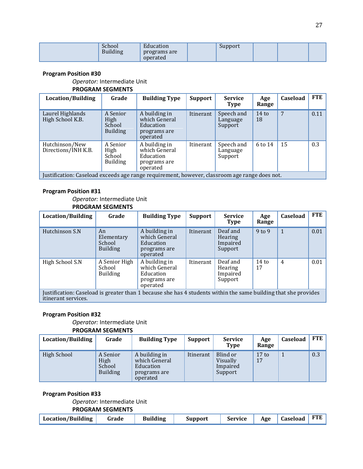| Ē<br>hool<br>Education<br>$\mathbf{u}$<br><sub>n</sub><br>programs are<br>ding.<br>operated | Support |
|---------------------------------------------------------------------------------------------|---------|
|---------------------------------------------------------------------------------------------|---------|

*Operator:* Intermediate Unit

#### **PROGRAM SEGMENTS**

| Location/Building                                                                             | Grade                                         | <b>Building Type</b>                                                    | Support   | <b>Service</b><br>Type            | Age<br>Range          | Caseload | FTE  |
|-----------------------------------------------------------------------------------------------|-----------------------------------------------|-------------------------------------------------------------------------|-----------|-----------------------------------|-----------------------|----------|------|
| Laurel Highlands<br>High School K.B.                                                          | A Senior<br>High<br>School<br><b>Building</b> | A building in<br>which General<br>Education<br>programs are<br>operated | Itinerant | Speech and<br>Language<br>Support | $14 \text{ to}$<br>18 | 7        | 0.11 |
| Hutchinson/New<br>Directions/INH K.B.                                                         | A Senior<br>High<br>School<br><b>Building</b> | A building in<br>which General<br>Education<br>programs are<br>operated | Itinerant | Speech and<br>Language<br>Support | 6 to 14               | 15       | 0.3  |
| Justification: Caseload exceeds age range requirement, however, classroom age range does not. |                                               |                                                                         |           |                                   |                       |          |      |

#### **Program Position #31**

*Operator:* Intermediate Unit **PROGRAM SEGMENTS**

| Location/Building                                                                                                                      | Grade                                         | <b>Building Type</b>                                                    | <b>Support</b> | <b>Service</b><br><b>Type</b>              | Age<br>Range  | Caseload       | FTE  |  |  |
|----------------------------------------------------------------------------------------------------------------------------------------|-----------------------------------------------|-------------------------------------------------------------------------|----------------|--------------------------------------------|---------------|----------------|------|--|--|
| Hutchinson S.N                                                                                                                         | An<br>Elementary<br>School<br><b>Building</b> | A building in<br>which General<br>Education<br>programs are<br>operated | Itinerant      | Deaf and<br>Hearing<br>Impaired<br>Support | $9$ to $9$    | 1              | 0.01 |  |  |
| High School S.N                                                                                                                        | A Senior High<br>School<br><b>Building</b>    | A building in<br>which General<br>Education<br>programs are<br>operated | Itinerant      | Deaf and<br>Hearing<br>Impaired<br>Support | $14$ to<br>17 | $\overline{4}$ | 0.01 |  |  |
| Justification: Caseload is greater than 1 because she has 4 students within the same building that she provides<br>itinerant services. |                                               |                                                                         |                |                                            |               |                |      |  |  |

#### **Program Position #32**

#### *Operator:* Intermediate Unit **PROGRAM SEGMENTS**

| Location/Building | Grade                                         | <b>Building Type</b>                                                    | Support   | <b>Service</b><br><b>Type</b>               | Age<br>Range          | <b>Caseload</b> | <b>FTE</b> |
|-------------------|-----------------------------------------------|-------------------------------------------------------------------------|-----------|---------------------------------------------|-----------------------|-----------------|------------|
| High School       | A Senior<br>High<br>School<br><b>Building</b> | A building in<br>which General<br>Education<br>programs are<br>operated | Itinerant | Blind or<br>Visually<br>Impaired<br>Support | $17 \text{ to}$<br>17 |                 | 0.3        |

#### **Program Position #33**

#### *Operator:* Intermediate Unit

| Location/Building | Grade | <b>Building</b> | <b>Support</b> | Service   Age   Caseload   FTE |  |  |
|-------------------|-------|-----------------|----------------|--------------------------------|--|--|
|                   |       |                 |                |                                |  |  |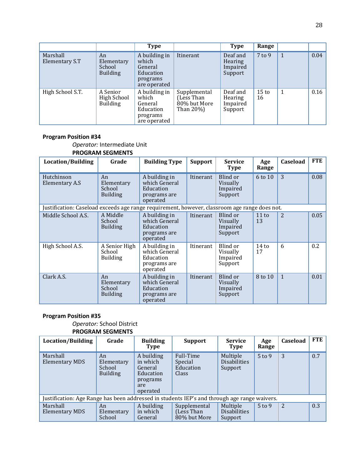|                            |                                               | <b>Type</b>                                                                |                                                         | <b>Type</b>                                | Range                  |   |      |
|----------------------------|-----------------------------------------------|----------------------------------------------------------------------------|---------------------------------------------------------|--------------------------------------------|------------------------|---|------|
| Marshall<br>Elementary S.T | An<br>Elementary<br>School<br><b>Building</b> | A building in<br>which<br>General<br>Education<br>programs<br>are operated | Itinerant                                               | Deaf and<br>Hearing<br>Impaired<br>Support | $7$ to $9$             | 1 | 0.04 |
| High School S.T.           | A Senior<br>High School<br><b>Building</b>    | A building in<br>which<br>General<br>Education<br>programs<br>are operated | Supplemental<br>Less Than)<br>80% but More<br>Than 20%) | Deaf and<br>Hearing<br>Impaired<br>Support | 15 <sub>to</sub><br>16 | 1 | 0.16 |

*Operator:* Intermediate Unit **PROGRAM SEGMENTS**

| Location/Building                                                                             | Grade                                         | <b>Building Type</b>                                                    | <b>Support</b> | <b>Service</b><br><b>Type</b>               | Age<br>Range          | Caseload     | <b>FTE</b> |
|-----------------------------------------------------------------------------------------------|-----------------------------------------------|-------------------------------------------------------------------------|----------------|---------------------------------------------|-----------------------|--------------|------------|
| Hutchinson<br>Elementary A.S                                                                  | An<br>Elementary<br>School<br><b>Building</b> | A building in<br>which General<br>Education<br>programs are<br>operated | Itinerant      | Blind or<br>Visually<br>Impaired<br>Support | 6 to 10               | 3            | 0.08       |
| Justification: Caseload exceeds age range requirement, however, classroom age range does not. |                                               |                                                                         |                |                                             |                       |              |            |
| Middle School A.S.                                                                            | A Middle<br>School<br><b>Building</b>         | A building in<br>which General<br>Education<br>programs are<br>operated | Itinerant      | Blind or<br>Visually<br>Impaired<br>Support | 11 to<br>13           | 2            | 0.05       |
| High School A.S.                                                                              | A Senior High<br>School<br><b>Building</b>    | A building in<br>which General<br>Education<br>programs are<br>operated | Itinerant      | Blind or<br>Visually<br>Impaired<br>Support | $14 \text{ to}$<br>17 | 6            | 0.2        |
| Clark A.S.                                                                                    | An<br>Elementary<br>School<br><b>Building</b> | A building in<br>which General<br>Education<br>programs are<br>operated | Itinerant      | Blind or<br>Visually<br>Impaired<br>Support | 8 to 10               | $\mathbf{1}$ | 0.01       |

#### **Program Position #35**

## *Operator:* School District

| Location/Building                                                                            | Grade                                         | <b>Building</b><br>Type                                                       | <b>Support</b>                             | <b>Service</b><br><b>Type</b>              | Age<br>Range | Caseload | FTE |
|----------------------------------------------------------------------------------------------|-----------------------------------------------|-------------------------------------------------------------------------------|--------------------------------------------|--------------------------------------------|--------------|----------|-----|
| Marshall<br>Elementary MDS                                                                   | An<br>Elementary<br>School<br><b>Building</b> | A building<br>in which<br>General<br>Education<br>programs<br>are<br>operated | Full-Time<br>Special<br>Education<br>Class | Multiple<br><b>Disabilities</b><br>Support | $5$ to 9     | 3        | 0.7 |
| Justification: Age Range has been addressed in students IEP's and through age range waivers. |                                               |                                                                               |                                            |                                            |              |          |     |
| Marshall<br>Elementary MDS                                                                   | An<br>Elementary<br>School                    | A building<br>in which<br>General                                             | Supplemental<br>(Less Than<br>80% but More | Multiple<br><b>Disabilities</b><br>Support | $5$ to 9     | 2        | 0.3 |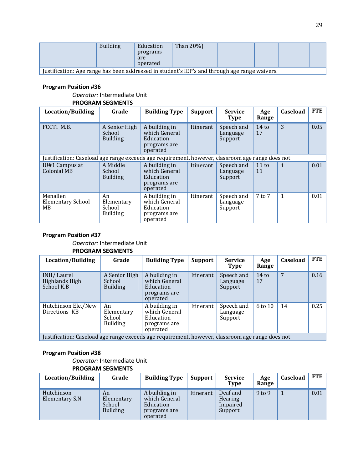|                                                                                               | <b>Building</b> | Education<br>programs<br>are<br>operated | Than $20\%$ ) |  |  |  |  |  |
|-----------------------------------------------------------------------------------------------|-----------------|------------------------------------------|---------------|--|--|--|--|--|
| Justification: Age range has been addressed in student's IEP's and through age range waivers. |                 |                                          |               |  |  |  |  |  |

*Operator:* Intermediate Unit **PROGRAM SEGMENTS**

| Location/Building                                                                                 | Grade                                         | <b>Building Type</b>                                                    | <b>Support</b> | <b>Service</b><br><b>Type</b>     | Age<br>Range          | Caseload | <b>FTE</b> |
|---------------------------------------------------------------------------------------------------|-----------------------------------------------|-------------------------------------------------------------------------|----------------|-----------------------------------|-----------------------|----------|------------|
| FCCTI M.B.                                                                                        | A Senior High<br>School<br><b>Building</b>    | A building in<br>which General<br>Education<br>programs are<br>operated | Itinerant      | Speech and<br>Language<br>Support | $14 \text{ to}$<br>17 | 3        | 0.05       |
| Justification: Caseload age range exceeds age requirement, however, classroom age range does not. |                                               |                                                                         |                |                                   |                       |          |            |
| IU#1 Campus at<br>Colonial MB                                                                     | A Middle<br>School<br><b>Building</b>         | A building in<br>which General<br>Education<br>programs are<br>operated | Itinerant      | Speech and<br>Language<br>Support | $11 \text{ to}$<br>11 | 1        | 0.01       |
| Menallen<br><b>Elementary School</b><br>МB                                                        | An<br>Elementary<br>School<br><b>Building</b> | A building in<br>which General<br>Education<br>programs are<br>operated | Itinerant      | Speech and<br>Language<br>Support | 7 to 7                | 1        | 0.01       |

#### **Program Position #37**

*Operator:* Intermediate Unit **PROGRAM SEGMENTS**

| Location/Building                                                                                 | Grade                                         | <b>Building Type</b>                                                    | <b>Support</b> | <b>Service</b><br><b>Type</b>     | Age<br>Range  | <b>Caseload</b> | FTE  |
|---------------------------------------------------------------------------------------------------|-----------------------------------------------|-------------------------------------------------------------------------|----------------|-----------------------------------|---------------|-----------------|------|
| INH/Laurel<br>Highlands High<br>School K.B                                                        | A Senior High<br>School<br><b>Building</b>    | A building in<br>which General<br>Education<br>programs are<br>operated | Itinerant      | Speech and<br>Language<br>Support | $14$ to<br>17 | 7               | 0.16 |
| Hutchinson Ele./New<br>Directions KB                                                              | An<br>Elementary<br>School<br><b>Building</b> | A building in<br>which General<br>Education<br>programs are<br>operated | Itinerant      | Speech and<br>Language<br>Support | 6 to 10       | 14              | 0.25 |
| Justification: Caseload age range exceeds age requirement, however, classroom age range does not. |                                               |                                                                         |                |                                   |               |                 |      |

#### **Program Position #38**

*Operator:* Intermediate Unit

| Location/Building             | Grade                                         | <b>Building Type</b>                                                    | Support   | <b>Service</b><br><b>Type</b>              | Age<br>Range | Caseload | <b>FTE</b> |
|-------------------------------|-----------------------------------------------|-------------------------------------------------------------------------|-----------|--------------------------------------------|--------------|----------|------------|
| Hutchinson<br>Elementary S.N. | An<br>Elementary<br>School<br><b>Building</b> | A building in<br>which General<br>Education<br>programs are<br>operated | Itinerant | Deaf and<br>Hearing<br>Impaired<br>Support | $9$ to $9$   |          | 0.01       |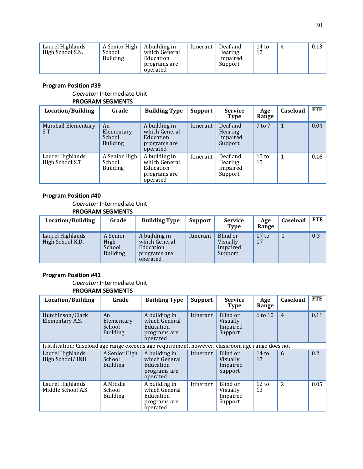| Laurel Highlands<br>High School S.N. | A Senior High<br>School<br>Building | A building in<br>which General<br>Education<br>programs are<br>operated | Itinerant | Deaf and<br>Hearing<br>Impaired<br>Support | $14$ to<br>17 |  | 0.13 |
|--------------------------------------|-------------------------------------|-------------------------------------------------------------------------|-----------|--------------------------------------------|---------------|--|------|
|--------------------------------------|-------------------------------------|-------------------------------------------------------------------------|-----------|--------------------------------------------|---------------|--|------|

#### *Operator:* Intermediate Unit **PROGRAM SEGMENTS**

| Location/Building                    | Grade                                         | <b>Building Type</b>                                                    | Support   | <b>Service</b><br><b>Type</b>              | Age<br>Range          | Caseload | <b>FTE</b> |
|--------------------------------------|-----------------------------------------------|-------------------------------------------------------------------------|-----------|--------------------------------------------|-----------------------|----------|------------|
| Marshall Elementary<br>S.T           | An<br>Elementary<br>School<br><b>Building</b> | A building in<br>which General<br>Education<br>programs are<br>operated | Itinerant | Deaf and<br>Hearing<br>Impaired<br>Support | $7$ to $7$            | 1        | 0.04       |
| Laurel Highlands<br>High School S.T. | A Senior High<br>School<br><b>Building</b>    | A building in<br>which General<br>Education<br>programs are<br>operated | Itinerant | Deaf and<br>Hearing<br>Impaired<br>Support | $15 \text{ to}$<br>15 | 1        | 0.16       |

#### **Program Position #40**

*Operator:* Intermediate Unit **PROGRAM SEGMENTS**

| Location/Building                    | Grade                                         | <b>Building Type</b>                                                    | <b>Support</b> | <b>Service</b><br><b>Type</b>               | Age<br>Range          | <b>Caseload</b> | <b>FTE</b> |
|--------------------------------------|-----------------------------------------------|-------------------------------------------------------------------------|----------------|---------------------------------------------|-----------------------|-----------------|------------|
| Laurel Highlands<br>High School K.D. | A Senior<br>High<br>School<br><b>Building</b> | A building in<br>which General<br>Education<br>programs are<br>operated | Itinerant      | Blind or<br>Visually<br>Impaired<br>Support | $17 \text{ to}$<br>17 |                 | 0.3        |

#### **Program Position #41**

*Operator:* Intermediate Unit **PROGRAM SEGMENTS**

| Location/Building                                                                                 | Grade                                         | <b>Building Type</b>                                                    | Support   | <b>Service</b><br>Type                      | Age<br>Range          | Caseload       | <b>FTE</b> |
|---------------------------------------------------------------------------------------------------|-----------------------------------------------|-------------------------------------------------------------------------|-----------|---------------------------------------------|-----------------------|----------------|------------|
| Hutchinson/Clark<br>Elementary A.S.                                                               | An<br>Elementary<br>School<br><b>Building</b> | A building in<br>which General<br>Education<br>programs are<br>operated | Itinerant | Blind or<br>Visually<br>Impaired<br>Support | 6 to 10               | $\overline{4}$ | 0.11       |
| Justification: Caseload age range exceeds age requirement, however, classroom age range does not. |                                               |                                                                         |           |                                             |                       |                |            |
| Laurel Highlands<br>High School/INH                                                               | A Senior High<br>School<br><b>Building</b>    | A building in<br>which General<br>Education<br>programs are<br>operated | Itinerant | Blind or<br>Visually<br>Impaired<br>Support | $14$ to<br>17         | 6              | 0.2        |
| Laurel Highlands<br>Middle School A.S.                                                            | A Middle<br>School<br><b>Building</b>         | A building in<br>which General<br>Education<br>programs are<br>operated | Itinerant | Blind or<br>Visually<br>Impaired<br>Support | $12 \text{ to}$<br>13 | $\overline{c}$ | 0.05       |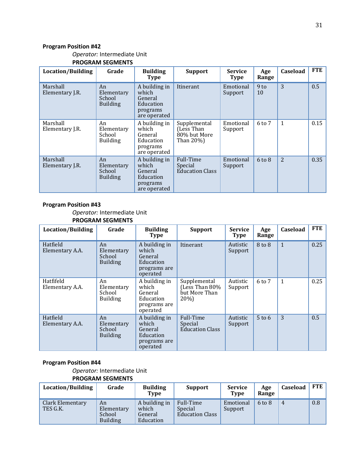#### *Operator:* Intermediate Unit **PROGRAM SEGMENTS**

| <b>Location/Building</b>    | Grade                                         | <b>Building</b><br><b>Type</b>                                             | <b>Support</b>                                          | <b>Service</b><br><b>Type</b> | Age<br>Range          | Caseload       | <b>FTE</b> |
|-----------------------------|-----------------------------------------------|----------------------------------------------------------------------------|---------------------------------------------------------|-------------------------------|-----------------------|----------------|------------|
| Marshall<br>Elementary J.R. | An<br>Elementary<br>School<br><b>Building</b> | A building in<br>which<br>General<br>Education<br>programs<br>are operated | <b>Itinerant</b>                                        | Emotional<br>Support          | 9 <sub>to</sub><br>10 | 3              | 0.5        |
| Marshall<br>Elementary J.R. | An<br>Elementary<br>School<br><b>Building</b> | A building in<br>which<br>General<br>Education<br>programs<br>are operated | Supplemental<br>(Less Than<br>80% but More<br>Than 20%) | Emotional<br>Support          | $6 \text{ to } 7$     | 1              | 0.15       |
| Marshall<br>Elementary J.R. | An<br>Elementary<br>School<br><b>Building</b> | A building in<br>which<br>General<br>Education<br>programs<br>are operated | Full-Time<br>Special<br><b>Education Class</b>          | Emotional<br>Support          | $6 \text{ to } 8$     | $\overline{2}$ | 0.35       |

#### **Program Position #43**

*Operator:* Intermediate Unit **PROGRAM SEGMENTS**

| Location/Building            | Grade                                         | <b>Building</b><br><b>Type</b>                                             | <b>Support</b>                                         | Service<br><b>Type</b> | Age<br>Range      | Caseload     | <b>FTE</b> |
|------------------------------|-----------------------------------------------|----------------------------------------------------------------------------|--------------------------------------------------------|------------------------|-------------------|--------------|------------|
| Hatfield<br>Elementary A.A.  | An<br>Elementary<br>School<br><b>Building</b> | A building in<br>which<br>General<br>Education<br>programs are<br>operated | Itinerant                                              | Autistic<br>Support    | 8 to 8            | $\mathbf{1}$ | 0.25       |
| Hatfifeld<br>Elementary A.A. | An<br>Elementary<br>School<br><b>Building</b> | A building in<br>which<br>General<br>Education<br>programs are<br>operated | Supplemental<br>(Less Than 80%<br>but More Than<br>20% | Autistic<br>Support    | $6 \text{ to } 7$ | $\mathbf{1}$ | 0.25       |
| Hatfield<br>Elementary A.A.  | An<br>Elementary<br>School<br><b>Building</b> | A building in<br>which<br>General<br>Education<br>programs are<br>operated | Full-Time<br>Special<br><b>Education Class</b>         | Autistic<br>Support    | $5$ to 6          | 3            | 0.5        |

#### **Program Position #44**

*Operator:* Intermediate Unit

| <b>Location/Building</b>     | Grade                                         | <b>Building</b><br>Type                        | <b>Support</b>                                 | <b>Service</b><br><b>Type</b> | Age<br>Range      | Caseload | <b>FTE</b> |
|------------------------------|-----------------------------------------------|------------------------------------------------|------------------------------------------------|-------------------------------|-------------------|----------|------------|
| Clark Elementary<br>TES G.K. | An<br>Elementary<br>School<br><b>Building</b> | A building in<br>which<br>General<br>Education | Full-Time<br>Special<br><b>Education Class</b> | Emotional<br>Support          | $6 \text{ to } 8$ | 4        | 0.8        |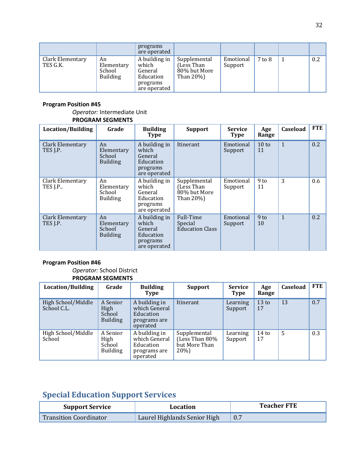|                              |                                               | programs<br>are operated                                                   |                                                              |                      |        |     |
|------------------------------|-----------------------------------------------|----------------------------------------------------------------------------|--------------------------------------------------------------|----------------------|--------|-----|
| Clark Elementary<br>TES G.K. | An<br>Elementary<br>School<br><b>Building</b> | A building in<br>which<br>General<br>Education<br>programs<br>are operated | Supplemental<br>(Less Than)<br>80% but More<br>Than $20\%$ ) | Emotional<br>Support | 7 to 8 | 0.2 |

#### *Operator:* Intermediate Unit **PROGRAM SEGMENTS**

| <b>Location/Building</b>     | Grade                                         | <b>Building</b><br>Type                                                    | <b>Support</b>                                          | <b>Service</b><br><b>Type</b> | Age<br>Range          | Caseload     | <b>FTE</b> |
|------------------------------|-----------------------------------------------|----------------------------------------------------------------------------|---------------------------------------------------------|-------------------------------|-----------------------|--------------|------------|
| Clark Elementary<br>TES J.P. | An<br>Elementary<br>School<br><b>Building</b> | A building in<br>which<br>General<br>Education<br>programs<br>are operated | Itinerant                                               | Emotional<br>Support          | $10 \text{ to}$<br>11 | $\mathbf{1}$ | 0.2        |
| Clark Elementary<br>TES J.P. | An<br>Elementary<br>School<br><b>Building</b> | A building in<br>which<br>General<br>Education<br>programs<br>are operated | Supplemental<br>(Less Than<br>80% but More<br>Than 20%) | Emotional<br>Support          | $9$ to<br>11          | 3            | 0.6        |
| Clark Elementary<br>TES J.P. | An<br>Elementary<br>School<br><b>Building</b> | A building in<br>which<br>General<br>Education<br>programs<br>are operated | Full-Time<br>Special<br><b>Education Class</b>          | Emotional<br>Support          | 9 <sub>to</sub><br>10 | $\mathbf{1}$ | 0.2        |

#### **Program Position #46**

#### *Operator:* School District **PROGRAM SEGMENTS**

| Location/Building                 | Grade                                         | <b>Building</b><br>Type                                                 | <b>Support</b>                                            | <b>Service</b><br><b>Type</b> | Age<br>Range           | Caseload | FTE |
|-----------------------------------|-----------------------------------------------|-------------------------------------------------------------------------|-----------------------------------------------------------|-------------------------------|------------------------|----------|-----|
| High School/Middle<br>School C.L. | A Senior<br>High<br>School<br><b>Building</b> | A building in<br>which General<br>Education<br>programs are<br>operated | Itinerant                                                 | Learning<br>Support           | 13 <sub>to</sub><br>17 | 13       | 0.7 |
| High School/Middle<br>School      | A Senior<br>High<br>School<br><b>Building</b> | A building in<br>which General<br>Education<br>programs are<br>operated | Supplemental<br>(Less Than 80%<br>but More Than<br>$20\%$ | Learning<br>Support           | 14 <sub>to</sub><br>17 | 5        | 0.3 |

## **Special Education Support Services**

| <b>Support Service</b>        | Location                     | <b>Teacher FTE</b> |
|-------------------------------|------------------------------|--------------------|
| <b>Transition Coordinator</b> | Laurel Highlands Senior High |                    |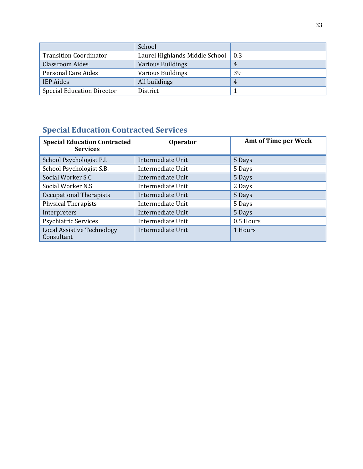|                                   | School                         |     |
|-----------------------------------|--------------------------------|-----|
| <b>Transition Coordinator</b>     | Laurel Highlands Middle School | 0.3 |
| <b>Classroom Aides</b>            | <b>Various Buildings</b>       |     |
| Personal Care Aides               | <b>Various Buildings</b>       | 39  |
| <b>IEP</b> Aides                  | All buildings                  | 4   |
| <b>Special Education Director</b> | District                       |     |

## **Special Education Contracted Services**

| <b>Special Education Contracted</b><br><b>Services</b> | <b>Operator</b>   | <b>Amt of Time per Week</b> |
|--------------------------------------------------------|-------------------|-----------------------------|
| School Psychologist P.L                                | Intermediate Unit | 5 Days                      |
| School Psychologist S.B.                               | Intermediate Unit | 5 Days                      |
| Social Worker S.C                                      | Intermediate Unit | 5 Days                      |
| Social Worker N.S.                                     | Intermediate Unit | 2 Days                      |
| Occupational Therapists                                | Intermediate Unit | 5 Days                      |
| <b>Physical Therapists</b>                             | Intermediate Unit | 5 Days                      |
| Interpreters                                           | Intermediate Unit | 5 Days                      |
| <b>Psychiatric Services</b>                            | Intermediate Unit | 0.5 Hours                   |
| <b>Local Assistive Technology</b><br>Consultant        | Intermediate Unit | 1 Hours                     |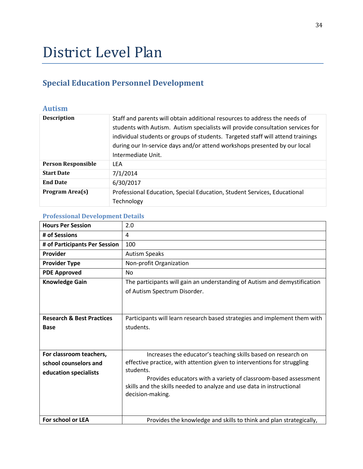## District Level Plan

## **Special Education Personnel Development**

### **Autism**

| <b>Description</b>        | Staff and parents will obtain additional resources to address the needs of<br>students with Autism. Autism specialists will provide consultation services for<br>individual students or groups of students. Targeted staff will attend trainings<br>during our In-service days and/or attend workshops presented by our local<br>Intermediate Unit. |
|---------------------------|-----------------------------------------------------------------------------------------------------------------------------------------------------------------------------------------------------------------------------------------------------------------------------------------------------------------------------------------------------|
| <b>Person Responsible</b> | <b>LEA</b>                                                                                                                                                                                                                                                                                                                                          |
| <b>Start Date</b>         | 7/1/2014                                                                                                                                                                                                                                                                                                                                            |
| <b>End Date</b>           | 6/30/2017                                                                                                                                                                                                                                                                                                                                           |
| Program Area(s)           | Professional Education, Special Education, Student Services, Educational<br>Technology                                                                                                                                                                                                                                                              |

| <b>Hours Per Session</b>                                                  | 2.0                                                                                                                                                                                                                                                                                                                    |
|---------------------------------------------------------------------------|------------------------------------------------------------------------------------------------------------------------------------------------------------------------------------------------------------------------------------------------------------------------------------------------------------------------|
| # of Sessions                                                             | 4                                                                                                                                                                                                                                                                                                                      |
| # of Participants Per Session                                             | 100                                                                                                                                                                                                                                                                                                                    |
| Provider                                                                  | <b>Autism Speaks</b>                                                                                                                                                                                                                                                                                                   |
| <b>Provider Type</b>                                                      | Non-profit Organization                                                                                                                                                                                                                                                                                                |
| <b>PDE Approved</b>                                                       | <b>No</b>                                                                                                                                                                                                                                                                                                              |
| <b>Knowledge Gain</b>                                                     | The participants will gain an understanding of Autism and demystification<br>of Autism Spectrum Disorder.                                                                                                                                                                                                              |
| <b>Research &amp; Best Practices</b><br><b>Base</b>                       | Participants will learn research based strategies and implement them with<br>students.                                                                                                                                                                                                                                 |
| For classroom teachers,<br>school counselors and<br>education specialists | Increases the educator's teaching skills based on research on<br>effective practice, with attention given to interventions for struggling<br>students.<br>Provides educators with a variety of classroom-based assessment<br>skills and the skills needed to analyze and use data in instructional<br>decision-making. |
| For school or LEA                                                         | Provides the knowledge and skills to think and plan strategically,                                                                                                                                                                                                                                                     |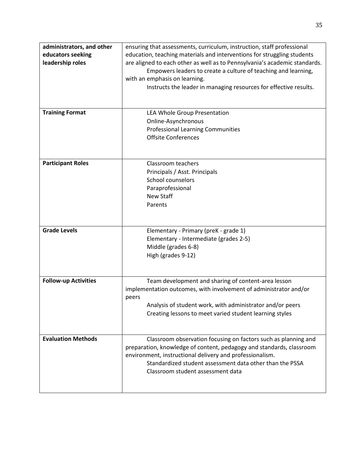| administrators, and other   | ensuring that assessments, curriculum, instruction, staff professional     |
|-----------------------------|----------------------------------------------------------------------------|
| educators seeking           | education, teaching materials and interventions for struggling students    |
| leadership roles            | are aligned to each other as well as to Pennsylvania's academic standards. |
|                             | Empowers leaders to create a culture of teaching and learning,             |
|                             | with an emphasis on learning.                                              |
|                             | Instructs the leader in managing resources for effective results.          |
|                             |                                                                            |
| <b>Training Format</b>      |                                                                            |
|                             | LEA Whole Group Presentation<br>Online-Asynchronous                        |
|                             | <b>Professional Learning Communities</b>                                   |
|                             | <b>Offsite Conferences</b>                                                 |
|                             |                                                                            |
|                             |                                                                            |
| <b>Participant Roles</b>    | Classroom teachers                                                         |
|                             | Principals / Asst. Principals                                              |
|                             | School counselors                                                          |
|                             | Paraprofessional                                                           |
|                             | New Staff                                                                  |
|                             | Parents                                                                    |
|                             |                                                                            |
|                             |                                                                            |
| <b>Grade Levels</b>         | Elementary - Primary (preK - grade 1)                                      |
|                             | Elementary - Intermediate (grades 2-5)                                     |
|                             | Middle (grades 6-8)                                                        |
|                             | High (grades 9-12)                                                         |
|                             |                                                                            |
|                             |                                                                            |
| <b>Follow-up Activities</b> | Team development and sharing of content-area lesson                        |
|                             | implementation outcomes, with involvement of administrator and/or          |
|                             | peers                                                                      |
|                             | Analysis of student work, with administrator and/or peers                  |
|                             | Creating lessons to meet varied student learning styles                    |
|                             |                                                                            |
|                             |                                                                            |
| <b>Evaluation Methods</b>   | Classroom observation focusing on factors such as planning and             |
|                             | preparation, knowledge of content, pedagogy and standards, classroom       |
|                             | environment, instructional delivery and professionalism.                   |
|                             | Standardized student assessment data other than the PSSA                   |
|                             | Classroom student assessment data                                          |
|                             |                                                                            |
|                             |                                                                            |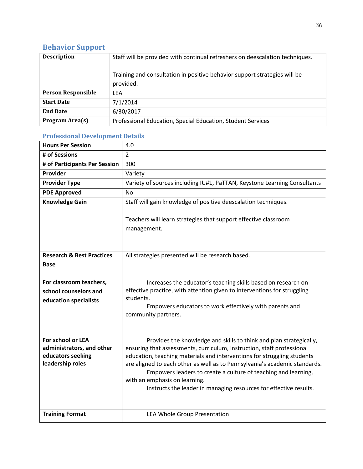## **Behavior Support**

| <b>Description</b>        | Staff will be provided with continual refreshers on deescalation techniques.<br>Training and consultation in positive behavior support strategies will be<br>provided. |
|---------------------------|------------------------------------------------------------------------------------------------------------------------------------------------------------------------|
| <b>Person Responsible</b> | LEA                                                                                                                                                                    |
| <b>Start Date</b>         | 7/1/2014                                                                                                                                                               |
| <b>End Date</b>           | 6/30/2017                                                                                                                                                              |
| Program Area(s)           | Professional Education, Special Education, Student Services                                                                                                            |

| <b>Hours Per Session</b>                                                                | 4.0                                                                                                                                                                                                                                                                                                                                                                                                                                                                           |
|-----------------------------------------------------------------------------------------|-------------------------------------------------------------------------------------------------------------------------------------------------------------------------------------------------------------------------------------------------------------------------------------------------------------------------------------------------------------------------------------------------------------------------------------------------------------------------------|
| # of Sessions                                                                           | $\overline{2}$                                                                                                                                                                                                                                                                                                                                                                                                                                                                |
| # of Participants Per Session                                                           | 300                                                                                                                                                                                                                                                                                                                                                                                                                                                                           |
| Provider                                                                                | Variety                                                                                                                                                                                                                                                                                                                                                                                                                                                                       |
| <b>Provider Type</b>                                                                    | Variety of sources including IU#1, PaTTAN, Keystone Learning Consultants                                                                                                                                                                                                                                                                                                                                                                                                      |
| <b>PDE Approved</b>                                                                     | No                                                                                                                                                                                                                                                                                                                                                                                                                                                                            |
| <b>Knowledge Gain</b>                                                                   | Staff will gain knowledge of positive deescalation techniques.                                                                                                                                                                                                                                                                                                                                                                                                                |
|                                                                                         | Teachers will learn strategies that support effective classroom<br>management.                                                                                                                                                                                                                                                                                                                                                                                                |
| <b>Research &amp; Best Practices</b>                                                    | All strategies presented will be research based.                                                                                                                                                                                                                                                                                                                                                                                                                              |
| Base                                                                                    |                                                                                                                                                                                                                                                                                                                                                                                                                                                                               |
|                                                                                         |                                                                                                                                                                                                                                                                                                                                                                                                                                                                               |
| For classroom teachers,                                                                 | Increases the educator's teaching skills based on research on                                                                                                                                                                                                                                                                                                                                                                                                                 |
| school counselors and                                                                   | effective practice, with attention given to interventions for struggling<br>students.                                                                                                                                                                                                                                                                                                                                                                                         |
| education specialists                                                                   | Empowers educators to work effectively with parents and<br>community partners.                                                                                                                                                                                                                                                                                                                                                                                                |
|                                                                                         |                                                                                                                                                                                                                                                                                                                                                                                                                                                                               |
| For school or LEA<br>administrators, and other<br>educators seeking<br>leadership roles | Provides the knowledge and skills to think and plan strategically,<br>ensuring that assessments, curriculum, instruction, staff professional<br>education, teaching materials and interventions for struggling students<br>are aligned to each other as well as to Pennsylvania's academic standards.<br>Empowers leaders to create a culture of teaching and learning,<br>with an emphasis on learning.<br>Instructs the leader in managing resources for effective results. |
| <b>Training Format</b>                                                                  | <b>LEA Whole Group Presentation</b>                                                                                                                                                                                                                                                                                                                                                                                                                                           |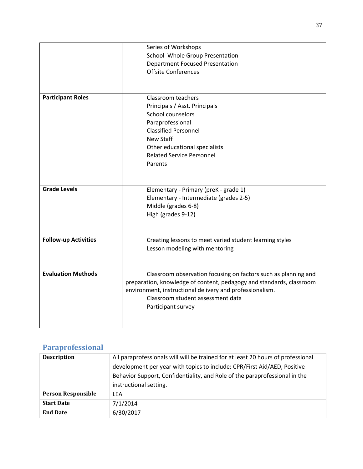|                             | Series of Workshops                                                  |
|-----------------------------|----------------------------------------------------------------------|
|                             | School Whole Group Presentation                                      |
|                             | <b>Department Focused Presentation</b>                               |
|                             | <b>Offsite Conferences</b>                                           |
|                             |                                                                      |
|                             |                                                                      |
| <b>Participant Roles</b>    | <b>Classroom teachers</b>                                            |
|                             | Principals / Asst. Principals                                        |
|                             | School counselors                                                    |
|                             | Paraprofessional                                                     |
|                             | <b>Classified Personnel</b>                                          |
|                             | <b>New Staff</b>                                                     |
|                             | Other educational specialists                                        |
|                             | <b>Related Service Personnel</b>                                     |
|                             | Parents                                                              |
|                             |                                                                      |
|                             |                                                                      |
| <b>Grade Levels</b>         | Elementary - Primary (preK - grade 1)                                |
|                             | Elementary - Intermediate (grades 2-5)                               |
|                             | Middle (grades 6-8)                                                  |
|                             | High (grades 9-12)                                                   |
|                             |                                                                      |
|                             |                                                                      |
| <b>Follow-up Activities</b> | Creating lessons to meet varied student learning styles              |
|                             | Lesson modeling with mentoring                                       |
|                             |                                                                      |
|                             |                                                                      |
| <b>Evaluation Methods</b>   | Classroom observation focusing on factors such as planning and       |
|                             | preparation, knowledge of content, pedagogy and standards, classroom |
|                             | environment, instructional delivery and professionalism.             |
|                             | Classroom student assessment data                                    |
|                             | Participant survey                                                   |
|                             |                                                                      |
|                             |                                                                      |

## **Paraprofessional**

| <b>Description</b>        | All paraprofessionals will will be trained for at least 20 hours of professional<br>development per year with topics to include: CPR/First Aid/AED, Positive<br>Behavior Support, Confidentiality, and Role of the paraprofessional in the<br>instructional setting. |
|---------------------------|----------------------------------------------------------------------------------------------------------------------------------------------------------------------------------------------------------------------------------------------------------------------|
| <b>Person Responsible</b> | LEA                                                                                                                                                                                                                                                                  |
| <b>Start Date</b>         | 7/1/2014                                                                                                                                                                                                                                                             |
| <b>End Date</b>           | 6/30/2017                                                                                                                                                                                                                                                            |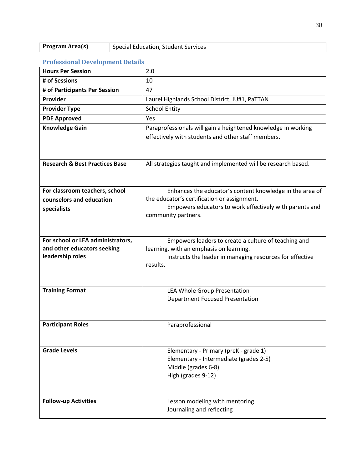| <b>Hours Per Session</b>                  | 2.0                                                                                                                          |
|-------------------------------------------|------------------------------------------------------------------------------------------------------------------------------|
| # of Sessions                             | 10                                                                                                                           |
| # of Participants Per Session             | 47                                                                                                                           |
| Provider                                  | Laurel Highlands School District, IU#1, PaTTAN                                                                               |
| <b>Provider Type</b>                      | <b>School Entity</b>                                                                                                         |
| <b>PDE Approved</b>                       | Yes                                                                                                                          |
| <b>Knowledge Gain</b>                     | Paraprofessionals will gain a heightened knowledge in working<br>effectively with students and other staff members.          |
| <b>Research &amp; Best Practices Base</b> | All strategies taught and implemented will be research based.                                                                |
| For classroom teachers, school            | Enhances the educator's content knowledge in the area of                                                                     |
| counselors and education                  | the educator's certification or assignment.                                                                                  |
| specialists                               | Empowers educators to work effectively with parents and<br>community partners.                                               |
| For school or LEA administrators,         | Empowers leaders to create a culture of teaching and                                                                         |
| and other educators seeking               | learning, with an emphasis on learning.                                                                                      |
| leadership roles                          | Instructs the leader in managing resources for effective<br>results.                                                         |
| <b>Training Format</b>                    | LEA Whole Group Presentation                                                                                                 |
|                                           | <b>Department Focused Presentation</b>                                                                                       |
| <b>Participant Roles</b>                  | Paraprofessional                                                                                                             |
| <b>Grade Levels</b>                       | Elementary - Primary (preK - grade 1)<br>Elementary - Intermediate (grades 2-5)<br>Middle (grades 6-8)<br>High (grades 9-12) |
| <b>Follow-up Activities</b>               | Lesson modeling with mentoring<br>Journaling and reflecting                                                                  |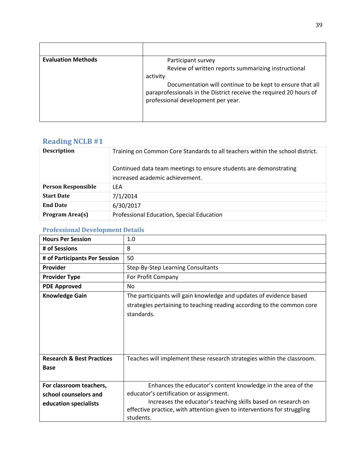| <b>Evaluation Methods</b> | Participant survey                                                                                                                                                    |
|---------------------------|-----------------------------------------------------------------------------------------------------------------------------------------------------------------------|
|                           | Review of written reports summarizing instructional                                                                                                                   |
|                           | activity                                                                                                                                                              |
|                           | Documentation will continue to be kept to ensure that all<br>paraprofessionals in the District receive the required 20 hours of<br>professional development per year. |
|                           |                                                                                                                                                                       |

## **Reading NCLB #1**

| <b>Description</b>        | Training on Common Core Standards to all teachers within the school district. |
|---------------------------|-------------------------------------------------------------------------------|
|                           | Continued data team meetings to ensure students are demonstrating             |
|                           | increased academic achievement.                                               |
| <b>Person Responsible</b> | LFA                                                                           |
| <b>Start Date</b>         | 7/1/2014                                                                      |
| <b>End Date</b>           | 6/30/2017                                                                     |
| <b>Program Area(s)</b>    | Professional Education, Special Education                                     |

| Troleogloman Development Details                                          |                                                                                                                                                                                                                                                                   |
|---------------------------------------------------------------------------|-------------------------------------------------------------------------------------------------------------------------------------------------------------------------------------------------------------------------------------------------------------------|
| <b>Hours Per Session</b>                                                  | 1.0                                                                                                                                                                                                                                                               |
| # of Sessions                                                             | 8                                                                                                                                                                                                                                                                 |
| # of Participants Per Session                                             | 50                                                                                                                                                                                                                                                                |
| Provider                                                                  | Step-By-Step Learning Consultants                                                                                                                                                                                                                                 |
| <b>Provider Type</b>                                                      | For Profit Company                                                                                                                                                                                                                                                |
| <b>PDE Approved</b>                                                       | <b>No</b>                                                                                                                                                                                                                                                         |
| <b>Knowledge Gain</b>                                                     | The participants will gain knowledge and updates of evidence based<br>strategies pertaining to teaching reading according to the common core<br>standards.                                                                                                        |
| <b>Research &amp; Best Practices</b><br><b>Base</b>                       | Teaches will implement these research strategies within the classroom.                                                                                                                                                                                            |
| For classroom teachers,<br>school counselors and<br>education specialists | Enhances the educator's content knowledge in the area of the<br>educator's certification or assignment.<br>Increases the educator's teaching skills based on research on<br>effective practice, with attention given to interventions for struggling<br>students. |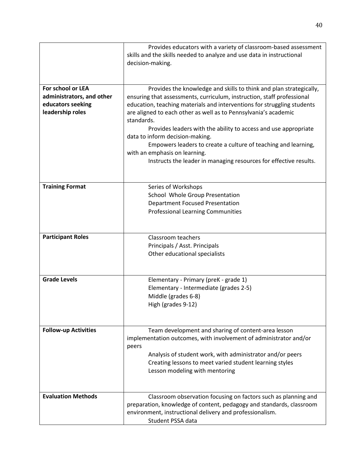|                                                                                         | Provides educators with a variety of classroom-based assessment<br>skills and the skills needed to analyze and use data in instructional<br>decision-making.                                                                                                                                                                                                                                                                                                                                                                                                                           |
|-----------------------------------------------------------------------------------------|----------------------------------------------------------------------------------------------------------------------------------------------------------------------------------------------------------------------------------------------------------------------------------------------------------------------------------------------------------------------------------------------------------------------------------------------------------------------------------------------------------------------------------------------------------------------------------------|
| For school or LEA<br>administrators, and other<br>educators seeking<br>leadership roles | Provides the knowledge and skills to think and plan strategically,<br>ensuring that assessments, curriculum, instruction, staff professional<br>education, teaching materials and interventions for struggling students<br>are aligned to each other as well as to Pennsylvania's academic<br>standards.<br>Provides leaders with the ability to access and use appropriate<br>data to inform decision-making.<br>Empowers leaders to create a culture of teaching and learning,<br>with an emphasis on learning.<br>Instructs the leader in managing resources for effective results. |
| <b>Training Format</b>                                                                  | Series of Workshops<br>School Whole Group Presentation<br><b>Department Focused Presentation</b><br><b>Professional Learning Communities</b>                                                                                                                                                                                                                                                                                                                                                                                                                                           |
| <b>Participant Roles</b>                                                                | Classroom teachers<br>Principals / Asst. Principals<br>Other educational specialists                                                                                                                                                                                                                                                                                                                                                                                                                                                                                                   |
| <b>Grade Levels</b>                                                                     | Elementary - Primary (preK - grade 1)<br>Elementary - Intermediate (grades 2-5)<br>Middle (grades 6-8)<br>High (grades 9-12)                                                                                                                                                                                                                                                                                                                                                                                                                                                           |
| <b>Follow-up Activities</b>                                                             | Team development and sharing of content-area lesson<br>implementation outcomes, with involvement of administrator and/or<br>peers<br>Analysis of student work, with administrator and/or peers<br>Creating lessons to meet varied student learning styles<br>Lesson modeling with mentoring                                                                                                                                                                                                                                                                                            |
| <b>Evaluation Methods</b>                                                               | Classroom observation focusing on factors such as planning and<br>preparation, knowledge of content, pedagogy and standards, classroom<br>environment, instructional delivery and professionalism.<br>Student PSSA data                                                                                                                                                                                                                                                                                                                                                                |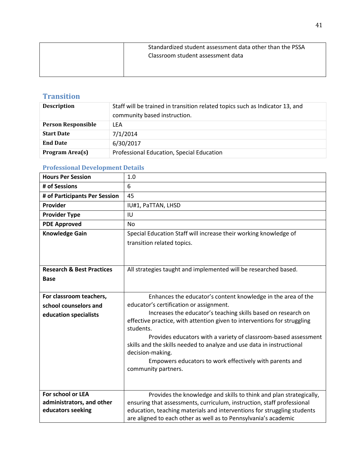| Standardized student assessment data other than the PSSA<br>Classroom student assessment data |
|-----------------------------------------------------------------------------------------------|
|                                                                                               |

## **Transition**

| <b>Description</b>        | Staff will be trained in transition related topics such as Indicator 13, and<br>community based instruction. |
|---------------------------|--------------------------------------------------------------------------------------------------------------|
| <b>Person Responsible</b> | LFA                                                                                                          |
| <b>Start Date</b>         | 7/1/2014                                                                                                     |
| <b>End Date</b>           | 6/30/2017                                                                                                    |
| Program Area(s)           | Professional Education, Special Education                                                                    |

| <b>Hours Per Session</b>             | 1.0                                                                                                                                       |
|--------------------------------------|-------------------------------------------------------------------------------------------------------------------------------------------|
| # of Sessions                        | 6                                                                                                                                         |
| # of Participants Per Session        | 45                                                                                                                                        |
| Provider                             | IU#1, PaTTAN, LHSD                                                                                                                        |
| <b>Provider Type</b>                 | IU                                                                                                                                        |
| <b>PDE Approved</b>                  | No                                                                                                                                        |
| <b>Knowledge Gain</b>                | Special Education Staff will increase their working knowledge of                                                                          |
|                                      | transition related topics.                                                                                                                |
|                                      |                                                                                                                                           |
|                                      |                                                                                                                                           |
| <b>Research &amp; Best Practices</b> | All strategies taught and implemented will be researched based.                                                                           |
| <b>Base</b>                          |                                                                                                                                           |
|                                      |                                                                                                                                           |
| For classroom teachers,              | Enhances the educator's content knowledge in the area of the                                                                              |
| school counselors and                | educator's certification or assignment.                                                                                                   |
| education specialists                | Increases the educator's teaching skills based on research on<br>effective practice, with attention given to interventions for struggling |
|                                      | students.                                                                                                                                 |
|                                      | Provides educators with a variety of classroom-based assessment                                                                           |
|                                      | skills and the skills needed to analyze and use data in instructional                                                                     |
|                                      | decision-making.                                                                                                                          |
|                                      | Empowers educators to work effectively with parents and                                                                                   |
|                                      | community partners.                                                                                                                       |
|                                      |                                                                                                                                           |
| For school or LEA                    | Provides the knowledge and skills to think and plan strategically,                                                                        |
| administrators, and other            | ensuring that assessments, curriculum, instruction, staff professional                                                                    |
| educators seeking                    | education, teaching materials and interventions for struggling students                                                                   |
|                                      | are aligned to each other as well as to Pennsylvania's academic                                                                           |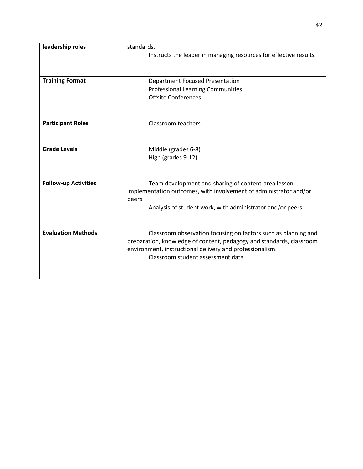| leadership roles            | standards.                                                           |
|-----------------------------|----------------------------------------------------------------------|
|                             | Instructs the leader in managing resources for effective results.    |
|                             |                                                                      |
|                             |                                                                      |
| <b>Training Format</b>      | <b>Department Focused Presentation</b>                               |
|                             | <b>Professional Learning Communities</b>                             |
|                             | <b>Offsite Conferences</b>                                           |
|                             |                                                                      |
|                             |                                                                      |
| <b>Participant Roles</b>    | Classroom teachers                                                   |
|                             |                                                                      |
|                             |                                                                      |
| <b>Grade Levels</b>         | Middle (grades 6-8)                                                  |
|                             | High (grades 9-12)                                                   |
|                             |                                                                      |
|                             |                                                                      |
| <b>Follow-up Activities</b> | Team development and sharing of content-area lesson                  |
|                             | implementation outcomes, with involvement of administrator and/or    |
|                             | peers                                                                |
|                             | Analysis of student work, with administrator and/or peers            |
|                             |                                                                      |
|                             |                                                                      |
| <b>Evaluation Methods</b>   | Classroom observation focusing on factors such as planning and       |
|                             | preparation, knowledge of content, pedagogy and standards, classroom |
|                             | environment, instructional delivery and professionalism.             |
|                             | Classroom student assessment data                                    |
|                             |                                                                      |
|                             |                                                                      |